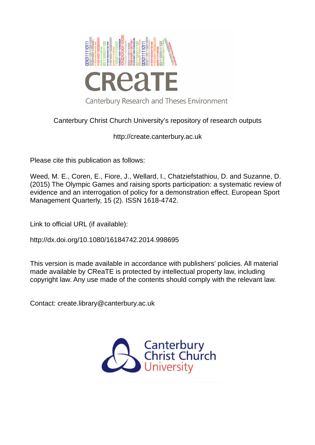

# Canterbury Christ Church University's repository of research outputs

http://create.canterbury.ac.uk

Please cite this publication as follows:

Weed, M. E., Coren, E., Fiore, J., Wellard, I., Chatziefstathiou, D. and Suzanne, D. (2015) The Olympic Games and raising sports participation: a systematic review of evidence and an interrogation of policy for a demonstration effect. European Sport Management Quarterly, 15 (2). ISSN 1618-4742.

Link to official URL (if available):

http://dx.doi.org/10.1080/16184742.2014.998695

This version is made available in accordance with publishers' policies. All material made available by CReaTE is protected by intellectual property law, including copyright law. Any use made of the contents should comply with the relevant law.

Contact: create.library@canterbury.ac.uk

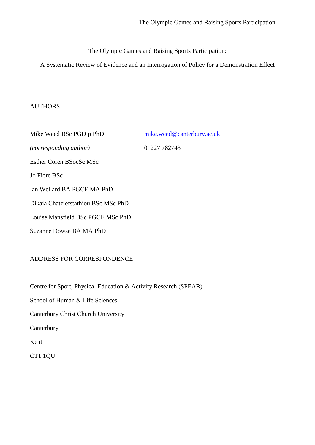The Olympic Games and Raising Sports Participation:

A Systematic Review of Evidence and an Interrogation of Policy for a Demonstration Effect

## AUTHORS

Mike Weed BSc PGDip PhD [mike.weed@canterbury.ac.uk](mailto:mike.weed@canterbury.ac.uk) *(corresponding author)* 01227 782743 Esther Coren BSocSc MSc Jo Fiore BSc Ian Wellard BA PGCE MA PhD Dikaia Chatziefstathiou BSc MSc PhD Louise Mansfield BSc PGCE MSc PhD Suzanne Dowse BA MA PhD

## ADDRESS FOR CORRESPONDENCE

Centre for Sport, Physical Education & Activity Research (SPEAR)

School of Human & Life Sciences

Canterbury Christ Church University

Canterbury

Kent

CT1 1QU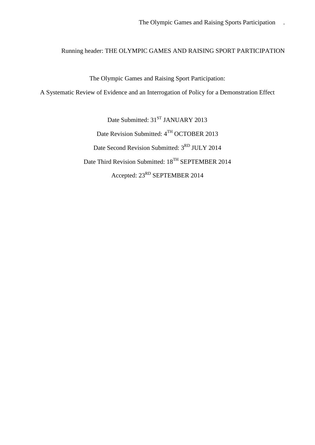## Running header: THE OLYMPIC GAMES AND RAISING SPORT PARTICIPATION

The Olympic Games and Raising Sport Participation:

A Systematic Review of Evidence and an Interrogation of Policy for a Demonstration Effect

Date Submitted: 31<sup>ST</sup> JANUARY 2013 Date Revision Submitted: 4TH OCTOBER 2013 Date Second Revision Submitted:  $3^{RD}$  JULY 2014 Date Third Revision Submitted: 18<sup>TH</sup> SEPTEMBER 2014 Accepted: 23RD SEPTEMBER 2014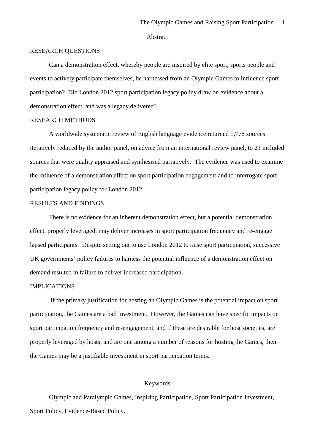#### Abstract

## RESEARCH QUESTIONS

Can a demonstration effect, whereby people are inspired by elite sport, sports people and events to actively participate themselves, be harnessed from an Olympic Games to influence sport participation? Did London 2012 sport participation legacy policy draw on evidence about a demonstration effect, and was a legacy delivered?

## RESEARCH METHODS

A worldwide systematic review of English language evidence returned 1,778 sources iteratively reduced by the author panel, on advice from an international review panel, to 21 included sources that were quality appraised and synthesised narratively. The evidence was used to examine the influence of a demonstration effect on sport participation engagement and to interrogate sport participation legacy policy for London 2012.

#### RESULTS AND FINDINGS

There is no evidence for an inherent demonstration effect, but a potential demonstration effect, properly leveraged, may deliver increases in sport participation frequency and re-engage lapsed participants. Despite setting out to use London 2012 to raise sport participation, successive UK governments' policy failures to harness the potential influence of a demonstration effect on demand resulted in failure to deliver increased participation.

## IMPLICATIONS

If the primary justification for hosting an Olympic Games is the potential impact on sport participation, the Games are a bad investment. However, the Games can have specific impacts on sport participation frequency and re-engagement, and if these are desirable for host societies, are properly leveraged by hosts, and are one among a number of reasons for hosting the Games, then the Games may be a justifiable investment in sport participation terms.

#### Keywords

Olympic and Paralympic Games, Inspiring Participation, Sport Participation Investment, Sport Policy, Evidence-Based Policy.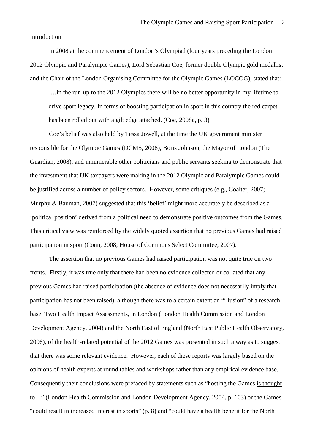Introduction

In 2008 at the commencement of London's Olympiad (four years preceding the London 2012 Olympic and Paralympic Games), Lord Sebastian Coe, former double Olympic gold medallist and the Chair of the London Organising Committee for the Olympic Games (LOCOG), stated that:

 …in the run-up to the 2012 Olympics there will be no better opportunity in my lifetime to drive sport legacy. In terms of boosting participation in sport in this country the red carpet has been rolled out with a gilt edge attached. (Coe, 2008a, p. 3)

Coe's belief was also held by Tessa Jowell, at the time the UK government minister responsible for the Olympic Games (DCMS, 2008), Boris Johnson, the Mayor of London (The Guardian, 2008), and innumerable other politicians and public servants seeking to demonstrate that the investment that UK taxpayers were making in the 2012 Olympic and Paralympic Games could be justified across a number of policy sectors. However, some critiques (e.g., Coalter, 2007; Murphy & Bauman, 2007) suggested that this 'belief' might more accurately be described as a 'political position' derived from a political need to demonstrate positive outcomes from the Games. This critical view was reinforced by the widely quoted assertion that no previous Games had raised participation in sport (Conn, 2008; House of Commons Select Committee, 2007).

The assertion that no previous Games had raised participation was not quite true on two fronts. Firstly, it was true only that there had been no evidence collected or collated that any previous Games had raised participation (the absence of evidence does not necessarily imply that participation has not been raised), although there was to a certain extent an "illusion" of a research base. Two Health Impact Assessments, in London (London Health Commission and London Development Agency, 2004) and the North East of England (North East Public Health Observatory, 2006), of the health-related potential of the 2012 Games was presented in such a way as to suggest that there was some relevant evidence. However, each of these reports was largely based on the opinions of health experts at round tables and workshops rather than any empirical evidence base. Consequently their conclusions were prefaced by statements such as "hosting the Games is thought to…" (London Health Commission and London Development Agency, 2004, p. 103) or the Games "could result in increased interest in sports" (p. 8) and "could have a health benefit for the North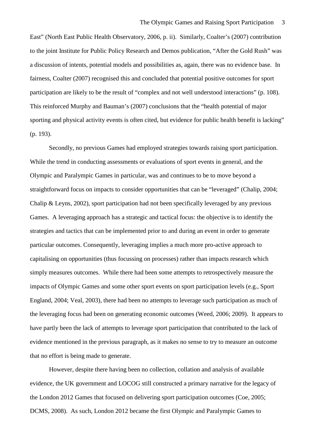East" (North East Public Health Observatory, 2006, p. ii). Similarly, Coalter's (2007) contribution to the joint Institute for Public Policy Research and Demos publication, "After the Gold Rush" was a discussion of intents, potential models and possibilities as, again, there was no evidence base. In fairness, Coalter (2007) recognised this and concluded that potential positive outcomes for sport participation are likely to be the result of "complex and not well understood interactions" (p. 108). This reinforced Murphy and Bauman's (2007) conclusions that the "health potential of major sporting and physical activity events is often cited, but evidence for public health benefit is lacking" (p. 193).

Secondly, no previous Games had employed strategies towards raising sport participation. While the trend in conducting assessments or evaluations of sport events in general, and the Olympic and Paralympic Games in particular, was and continues to be to move beyond a straightforward focus on impacts to consider opportunities that can be "leveraged" (Chalip, 2004; Chalip & Leyns, 2002), sport participation had not been specifically leveraged by any previous Games. A leveraging approach has a strategic and tactical focus: the objective is to identify the strategies and tactics that can be implemented prior to and during an event in order to generate particular outcomes. Consequently, leveraging implies a much more pro-active approach to capitalising on opportunities (thus focussing on processes) rather than impacts research which simply measures outcomes. While there had been some attempts to retrospectively measure the impacts of Olympic Games and some other sport events on sport participation levels (e.g., Sport England, 2004; Veal, 2003), there had been no attempts to leverage such participation as much of the leveraging focus had been on generating economic outcomes (Weed, 2006; 2009). It appears to have partly been the lack of attempts to leverage sport participation that contributed to the lack of evidence mentioned in the previous paragraph, as it makes no sense to try to measure an outcome that no effort is being made to generate.

<span id="page-5-2"></span><span id="page-5-1"></span><span id="page-5-0"></span>However, despite there having been no collection, collation and analysis of available evidence, the UK government and LOCOG still constructed a primary narrative for the legacy of the London 2012 Games that focused on delivering sport participation outcomes (Coe, 2005; DCMS, 2008). As such, London 2012 became the first Olympic and Paralympic Games to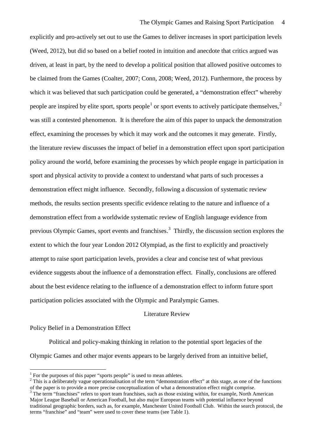explicitly and pro-actively set out to use the Games to deliver increases in sport participation levels (Weed, 2012), but did so based on a belief rooted in intuition and anecdote that critics argued was driven, at least in part, by the need to develop a political position that allowed positive outcomes to be claimed from the Games (Coalter, 2007; Conn, 2008; Weed, 2012). Furthermore, the process by which it was believed that such participation could be generated, a "demonstration effect" whereby people are inspired by elite sport, sports people<sup>[1](#page-5-0)</sup> or sport events to actively participate themselves,<sup>[2](#page-5-1)</sup> was still a contested phenomenon. It is therefore the aim of this paper to unpack the demonstration effect, examining the processes by which it may work and the outcomes it may generate. Firstly, the literature review discusses the impact of belief in a demonstration effect upon sport participation policy around the world, before examining the processes by which people engage in participation in sport and physical activity to provide a context to understand what parts of such processes a demonstration effect might influence. Secondly, following a discussion of systematic review methods, the results section presents specific evidence relating to the nature and influence of a demonstration effect from a worldwide systematic review of English language evidence from previous Olympic Games, sport events and franchises.<sup>[3](#page-5-2)</sup> Thirdly, the discussion section explores the extent to which the four year London 2012 Olympiad, as the first to explicitly and proactively attempt to raise sport participation levels, provides a clear and concise test of what previous evidence suggests about the influence of a demonstration effect. Finally, conclusions are offered about the best evidence relating to the influence of a demonstration effect to inform future sport participation policies associated with the Olympic and Paralympic Games.

## Literature Review

#### Policy Belief in a Demonstration Effect

<u>.</u>

Political and policy-making thinking in relation to the potential sport legacies of the Olympic Games and other major events appears to be largely derived from an intuitive belief,

<sup>&</sup>lt;sup>1</sup> For the purposes of this paper "sports people" is used to mean athletes.

 $2$  This is a deliberately vague operationalisation of the term "demonstration effect" at this stage, as one of the functions of the paper is to provide a more precise conceptualization of what a demonstration effect might comprise.

 $3$  The term "franchises" refers to sport team franchises, such as those existing within, for example, North American Major League Baseball or American Football, but also major European teams with potential influence beyond traditional geographic borders, such as, for example, Manchester United Football Club. Within the search protocol, the terms "franchise" and "team" were used to cover these teams (see Table 1).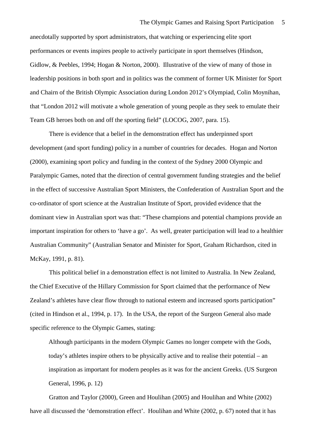anecdotally supported by sport administrators, that watching or experiencing elite sport performances or events inspires people to actively participate in sport themselves (Hindson, Gidlow, & Peebles, 1994; Hogan & Norton, 2000). Illustrative of the view of many of those in leadership positions in both sport and in politics was the comment of former UK Minister for Sport and Chairn of the British Olympic Association during London 2012's Olympiad, Colin Moynihan, that "London 2012 will motivate a whole generation of young people as they seek to emulate their Team GB heroes both on and off the sporting field" (LOCOG, 2007, para. 15).

There is evidence that a belief in the demonstration effect has underpinned sport development (and sport funding) policy in a number of countries for decades. Hogan and Norton (2000), examining sport policy and funding in the context of the Sydney 2000 Olympic and Paralympic Games, noted that the direction of central government funding strategies and the belief in the effect of successive Australian Sport Ministers, the Confederation of Australian Sport and the co-ordinator of sport science at the Australian Institute of Sport, provided evidence that the dominant view in Australian sport was that: "These champions and potential champions provide an important inspiration for others to 'have a go'. As well, greater participation will lead to a healthier Australian Community" (Australian Senator and Minister for Sport, Graham Richardson, cited in McKay, 1991, p. 81).

This political belief in a demonstration effect is not limited to Australia. In New Zealand, the Chief Executive of the Hillary Commission for Sport claimed that the performance of New Zealand's athletes have clear flow through to national esteem and increased sports participation" (cited in Hindson et al., 1994, p. 17). In the USA, the report of the Surgeon General also made specific reference to the Olympic Games, stating:

Although participants in the modern Olympic Games no longer compete with the Gods, today's athletes inspire others to be physically active and to realise their potential – an inspiration as important for modern peoples as it was for the ancient Greeks. (US Surgeon General, 1996, p. 12)

Gratton and Taylor (2000), Green and Houlihan (2005) and Houlihan and White (2002) have all discussed the 'demonstration effect'. Houlihan and White (2002, p. 67) noted that it has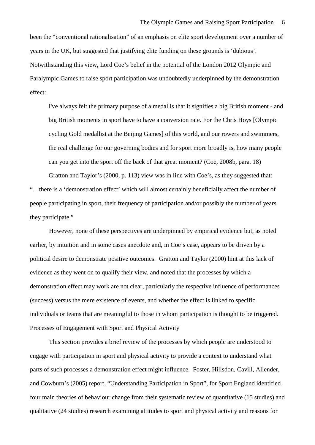been the "conventional rationalisation" of an emphasis on elite sport development over a number of years in the UK, but suggested that justifying elite funding on these grounds is 'dubious'. Notwithstanding this view, Lord Coe's belief in the potential of the London 2012 Olympic and Paralympic Games to raise sport participation was undoubtedly underpinned by the demonstration effect:

I've always felt the primary purpose of a medal is that it signifies a big British moment - and big British moments in sport have to have a conversion rate. For the Chris Hoys [Olympic cycling Gold medallist at the Beijing Games] of this world, and our rowers and swimmers, the real challenge for our governing bodies and for sport more broadly is, how many people can you get into the sport off the back of that great moment? (Coe, 2008b, para. 18)

Gratton and Taylor's (2000, p. 113) view was in line with Coe's, as they suggested that: "…there is a 'demonstration effect' which will almost certainly beneficially affect the number of people participating in sport, their frequency of participation and/or possibly the number of years they participate."

However, none of these perspectives are underpinned by empirical evidence but, as noted earlier, by intuition and in some cases anecdote and, in Coe's case, appears to be driven by a political desire to demonstrate positive outcomes. Gratton and Taylor (2000) hint at this lack of evidence as they went on to qualify their view, and noted that the processes by which a demonstration effect may work are not clear, particularly the respective influence of performances (success) versus the mere existence of events, and whether the effect is linked to specific individuals or teams that are meaningful to those in whom participation is thought to be triggered. Processes of Engagement with Sport and Physical Activity

This section provides a brief review of the processes by which people are understood to engage with participation in sport and physical activity to provide a context to understand what parts of such processes a demonstration effect might influence. Foster, Hillsdon, Cavill, Allender, and Cowburn's (2005) report, "Understanding Participation in Sport", for Sport England identified four main theories of behaviour change from their systematic review of quantitative (15 studies) and qualitative (24 studies) research examining attitudes to sport and physical activity and reasons for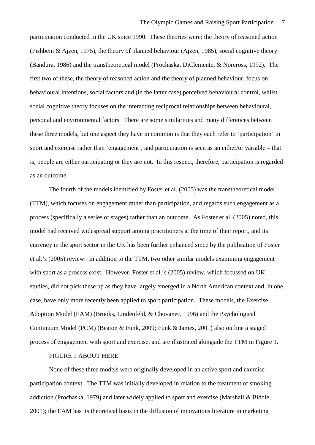participation conducted in the UK since 1990. These theories were: the theory of reasoned action (Fishbein & Ajzen, 1975), the theory of planned behaviour (Ajzen, 1985), social cognitive theory (Bandura, 1986) and the transtheoretical model (Prochaska, DiClemente, & Norcross, 1992). The first two of these, the theory of reasoned action and the theory of planned behaviour, focus on behavioural intentions, social factors and (in the latter case) perceived behavioural control, whilst social cognitive theory focuses on the interacting reciprocal relationships between behavioural, personal and environmental factors. There are some similarities and many differences between these three models, but one aspect they have in common is that they each refer to 'participation' in sport and exercise rather than 'engagement', and participation is seen as an either/or variable – that is, people are either participating or they are not. In this respect, therefore, participation is regarded as an outcome.

The fourth of the models identified by Foster et al. (2005) was the transtheoretical model (TTM), which focuses on engagement rather than participation, and regards such engagement as a process (specifically a series of stages) rather than an outcome. As Foster et al. (2005) noted, this model had received widespread support among practitioners at the time of their report, and its currency in the sport sector in the UK has been further enhanced since by the publication of Foster et al.'s (2005) review. In addition to the TTM, two other similar models examining engagement with sport as a process exist. However, Foster et al.'s (2005) review, which focussed on UK studies, did not pick these up as they have largely emerged in a North American context and, in one case, have only more recently been applied to sport participation. These models, the Exercise Adoption Model (EAM) (Brooks, Lindenfeld, & Chovanec, 1996) and the Psychological Continuum Model (PCM) (Beaton & Funk, 2009; Funk & James, 2001) also outline a staged process of engagement with sport and exercise, and are illustrated alongside the TTM in Figure 1.

#### FIGURE 1 ABOUT HERE

None of these three models were originally developed in an active sport and exercise participation context. The TTM was initially developed in relation to the treatment of smoking addiction (Prochaska, 1979) and later widely applied to sport and exercise (Marshall & Biddle, 2001); the EAM has its theoretical basis in the diffusion of innovations literature in marketing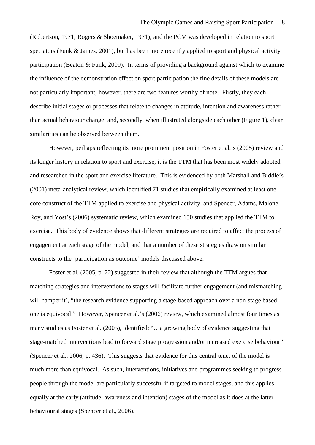(Robertson, 1971; Rogers & Shoemaker, 1971); and the PCM was developed in relation to sport spectators (Funk & James, 2001), but has been more recently applied to sport and physical activity participation (Beaton & Funk, 2009). In terms of providing a background against which to examine the influence of the demonstration effect on sport participation the fine details of these models are not particularly important; however, there are two features worthy of note. Firstly, they each describe initial stages or processes that relate to changes in attitude, intention and awareness rather than actual behaviour change; and, secondly, when illustrated alongside each other (Figure 1), clear similarities can be observed between them.

However, perhaps reflecting its more prominent position in Foster et al.'s (2005) review and its longer history in relation to sport and exercise, it is the TTM that has been most widely adopted and researched in the sport and exercise literature. This is evidenced by both Marshall and Biddle's (2001) meta-analytical review, which identified 71 studies that empirically examined at least one core construct of the TTM applied to exercise and physical activity, and Spencer, Adams, Malone, Roy, and Yost's (2006) systematic review, which examined 150 studies that applied the TTM to exercise. This body of evidence shows that different strategies are required to affect the process of engagement at each stage of the model, and that a number of these strategies draw on similar constructs to the 'participation as outcome' models discussed above.

Foster et al. (2005, p. 22) suggested in their review that although the TTM argues that matching strategies and interventions to stages will facilitate further engagement (and mismatching will hamper it), "the research evidence supporting a stage-based approach over a non-stage based one is equivocal." However, Spencer et al.'s (2006) review, which examined almost four times as many studies as Foster et al. (2005), identified: "…a growing body of evidence suggesting that stage-matched interventions lead to forward stage progression and/or increased exercise behaviour" (Spencer et al., 2006, p. 436). This suggests that evidence for this central tenet of the model is much more than equivocal. As such, interventions, initiatives and programmes seeking to progress people through the model are particularly successful if targeted to model stages, and this applies equally at the early (attitude, awareness and intention) stages of the model as it does at the latter behavioural stages (Spencer et al., 2006).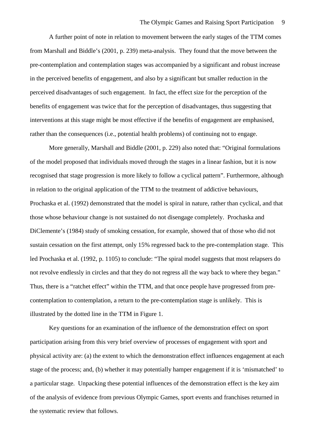A further point of note in relation to movement between the early stages of the TTM comes from Marshall and Biddle's (2001, p. 239) meta-analysis. They found that the move between the pre-contemplation and contemplation stages was accompanied by a significant and robust increase in the perceived benefits of engagement, and also by a significant but smaller reduction in the perceived disadvantages of such engagement. In fact, the effect size for the perception of the benefits of engagement was twice that for the perception of disadvantages, thus suggesting that interventions at this stage might be most effective if the benefits of engagement are emphasised, rather than the consequences (i.e., potential health problems) of continuing not to engage.

More generally, Marshall and Biddle (2001, p. 229) also noted that: "Original formulations of the model proposed that individuals moved through the stages in a linear fashion, but it is now recognised that stage progression is more likely to follow a cyclical pattern". Furthermore, although in relation to the original application of the TTM to the treatment of addictive behaviours, Prochaska et al. (1992) demonstrated that the model is spiral in nature, rather than cyclical, and that those whose behaviour change is not sustained do not disengage completely. Prochaska and DiClemente's (1984) study of smoking cessation, for example, showed that of those who did not sustain cessation on the first attempt, only 15% regressed back to the pre-contemplation stage. This led Prochaska et al. (1992, p. 1105) to conclude: "The spiral model suggests that most relapsers do not revolve endlessly in circles and that they do not regress all the way back to where they began." Thus, there is a "ratchet effect" within the TTM, and that once people have progressed from precontemplation to contemplation, a return to the pre-contemplation stage is unlikely. This is illustrated by the dotted line in the TTM in Figure 1.

<span id="page-11-0"></span>Key questions for an examination of the influence of the demonstration effect on sport participation arising from this very brief overview of processes of engagement with sport and physical activity are: (a) the extent to which the demonstration effect influences engagement at each stage of the process; and, (b) whether it may potentially hamper engagement if it is 'mismatched' to a particular stage. Unpacking these potential influences of the demonstration effect is the key aim of the analysis of evidence from previous Olympic Games, sport events and franchises returned in the systematic review that follows.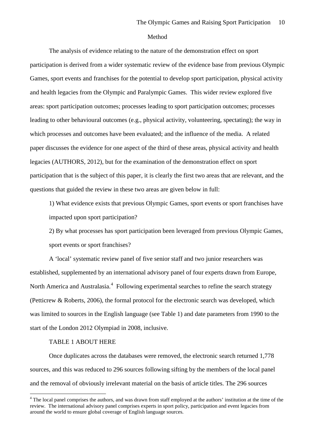#### Method

The analysis of evidence relating to the nature of the demonstration effect on sport participation is derived from a wider systematic review of the evidence base from previous Olympic Games, sport events and franchises for the potential to develop sport participation, physical activity and health legacies from the Olympic and Paralympic Games. This wider review explored five areas: sport participation outcomes; processes leading to sport participation outcomes; processes leading to other behavioural outcomes (e.g., physical activity, volunteering, spectating); the way in which processes and outcomes have been evaluated; and the influence of the media. A related paper discusses the evidence for one aspect of the third of these areas, physical activity and health legacies (AUTHORS, 2012), but for the examination of the demonstration effect on sport participation that is the subject of this paper, it is clearly the first two areas that are relevant, and the questions that guided the review in these two areas are given below in full:

1) What evidence exists that previous Olympic Games, sport events or sport franchises have impacted upon sport participation?

2) By what processes has sport participation been leveraged from previous Olympic Games, sport events or sport franchises?

A 'local' systematic review panel of five senior staff and two junior researchers was established, supplemented by an international advisory panel of four experts drawn from Europe, North America and Australasia.<sup>[4](#page-11-0)</sup> Following experimental searches to refine the search strategy (Petticrew & Roberts, 2006), the formal protocol for the electronic search was developed, which was limited to sources in the English language (see Table 1) and date parameters from 1990 to the start of the London 2012 Olympiad in 2008, inclusive.

## TABLE 1 ABOUT HERE

<u>.</u>

Once duplicates across the databases were removed, the electronic search returned 1,778 sources, and this was reduced to 296 sources following sifting by the members of the local panel and the removal of obviously irrelevant material on the basis of article titles. The 296 sources

<sup>&</sup>lt;sup>4</sup> The local panel comprises the authors, and was drawn from staff employed at the authors' institution at the time of the review. The international advisory panel comprises experts in sport policy, participation and event legacies from around the world to ensure global coverage of English language sources.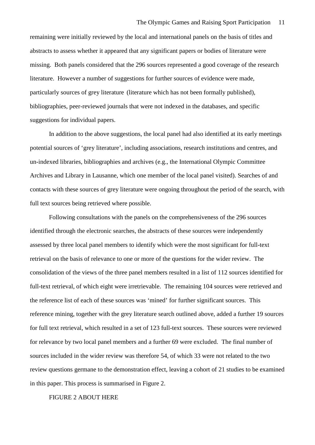remaining were initially reviewed by the local and international panels on the basis of titles and abstracts to assess whether it appeared that any significant papers or bodies of literature were missing. Both panels considered that the 296 sources represented a good coverage of the research literature. However a number of suggestions for further sources of evidence were made, particularly sources of grey literature (literature which has not been formally published), bibliographies, peer-reviewed journals that were not indexed in the databases, and specific suggestions for individual papers.

In addition to the above suggestions, the local panel had also identified at its early meetings potential sources of 'grey literature', including associations, research institutions and centres, and un-indexed libraries, bibliographies and archives (e.g., the International Olympic Committee Archives and Library in Lausanne, which one member of the local panel visited). Searches of and contacts with these sources of grey literature were ongoing throughout the period of the search, with full text sources being retrieved where possible.

Following consultations with the panels on the comprehensiveness of the 296 sources identified through the electronic searches, the abstracts of these sources were independently assessed by three local panel members to identify which were the most significant for full-text retrieval on the basis of relevance to one or more of the questions for the wider review. The consolidation of the views of the three panel members resulted in a list of 112 sources identified for full-text retrieval, of which eight were irretrievable. The remaining 104 sources were retrieved and the reference list of each of these sources was 'mined' for further significant sources. This reference mining, together with the grey literature search outlined above, added a further 19 sources for full text retrieval, which resulted in a set of 123 full-text sources. These sources were reviewed for relevance by two local panel members and a further 69 were excluded. The final number of sources included in the wider review was therefore 54, of which 33 were not related to the two review questions germane to the demonstration effect, leaving a cohort of 21 studies to be examined in this paper. This process is summarised in Figure 2.

FIGURE 2 ABOUT HERE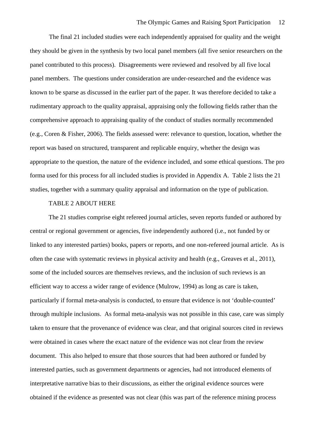The final 21 included studies were each independently appraised for quality and the weight they should be given in the synthesis by two local panel members (all five senior researchers on the panel contributed to this process). Disagreements were reviewed and resolved by all five local panel members. The questions under consideration are under-researched and the evidence was known to be sparse as discussed in the earlier part of the paper. It was therefore decided to take a rudimentary approach to the quality appraisal, appraising only the following fields rather than the comprehensive approach to appraising quality of the conduct of studies normally recommended (e.g., Coren & Fisher, 2006). The fields assessed were: relevance to question, location, whether the report was based on structured, transparent and replicable enquiry, whether the design was appropriate to the question, the nature of the evidence included, and some ethical questions. The pro forma used for this process for all included studies is provided in Appendix A. Table 2 lists the 21 studies, together with a summary quality appraisal and information on the type of publication.

#### TABLE 2 ABOUT HERE

The 21 studies comprise eight refereed journal articles, seven reports funded or authored by central or regional government or agencies, five independently authored (i.e., not funded by or linked to any interested parties) books, papers or reports, and one non-refereed journal article. As is often the case with systematic reviews in physical activity and health (e.g., Greaves et al., 2011), some of the included sources are themselves reviews, and the inclusion of such reviews is an efficient way to access a wider range of evidence (Mulrow, 1994) as long as care is taken, particularly if formal meta-analysis is conducted, to ensure that evidence is not 'double-counted' through multiple inclusions. As formal meta-analysis was not possible in this case, care was simply taken to ensure that the provenance of evidence was clear, and that original sources cited in reviews were obtained in cases where the exact nature of the evidence was not clear from the review document. This also helped to ensure that those sources that had been authored or funded by interested parties, such as government departments or agencies, had not introduced elements of interpretative narrative bias to their discussions, as either the original evidence sources were obtained if the evidence as presented was not clear (this was part of the reference mining process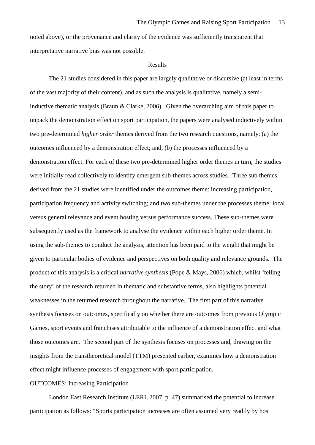noted above), or the provenance and clarity of the evidence was sufficiently transparent that interpretative narrative bias was not possible.

#### Results

The 21 studies considered in this paper are largely qualitative or discursive (at least in terms of the vast majority of their content), and as such the analysis is qualitative, namely a semiinductive thematic analysis (Braun & Clarke, 2006). Given the overarching aim of this paper to unpack the demonstration effect on sport participation, the papers were analysed inductively within two pre-determined *higher order* themes derived from the two research questions, namely: (a) the outcomes influenced by a demonstration effect; and, (b) the processes influenced by a demonstration effect. For each of these two pre-determined higher order themes in turn, the studies were initially read collectively to identify emergent sub-themes across studies. Three sub themes derived from the 21 studies were identified under the outcomes theme: increasing participation, participation frequency and activity switching; and two sub-themes under the processes theme: local versus general relevance and event hosting versus performance success. These sub-themes were subsequently used as the framework to analyse the evidence within each higher order theme. In using the sub-themes to conduct the analysis, attention has been paid to the weight that might be given to particular bodies of evidence and perspectives on both quality and relevance grounds. The product of this analysis is a critical *narrative synthesis* (Pope & Mays, 2006) which, whilst 'telling the story' of the research returned in thematic and substantive terms, also highlights potential weaknesses in the returned research throughout the narrative. The first part of this narrative synthesis focuses on outcomes, specifically on whether there are outcomes from previous Olympic Games, sport events and franchises attributable to the influence of a demonstration effect and what those outcomes are. The second part of the synthesis focuses on processes and, drawing on the insights from the transtheoretical model (TTM) presented earlier, examines how a demonstration effect might influence processes of engagement with sport participation.

#### OUTCOMES: Increasing Participation

London East Research Institute (LERI, 2007, p. 47) summarised the potential to increase participation as follows: "Sports participation increases are often assumed very readily by host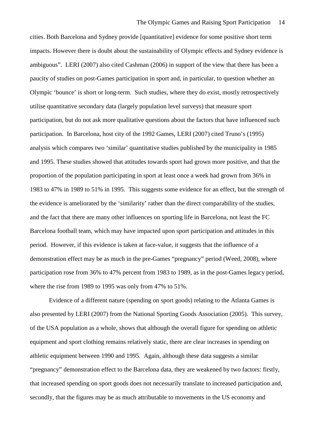cities. Both Barcelona and Sydney provide [quantitative] evidence for some positive short term impacts. However there is doubt about the sustainability of Olympic effects and Sydney evidence is ambiguous". LERI (2007) also cited Cashman (2006) in support of the view that there has been a paucity of studies on post-Games participation in sport and, in particular, to question whether an Olympic 'bounce' is short or long-term. Such studies, where they do exist, mostly retrospectively utilise quantitative secondary data (largely population level surveys) that measure sport participation, but do not ask more qualitative questions about the factors that have influenced such participation. In Barcelona, host city of the 1992 Games, LERI (2007) cited Truno's (1995) analysis which compares two 'similar' quantitative studies published by the municipality in 1985 and 1995. These studies showed that attitudes towards sport had grown more positive, and that the proportion of the population participating in sport at least once a week had grown from 36% in 1983 to 47% in 1989 to 51% in 1995. This suggests some evidence for an effect, but the strength of the evidence is ameliorated by the 'similarity' rather than the direct comparability of the studies, and the fact that there are many other influences on sporting life in Barcelona, not least the FC Barcelona football team, which may have impacted upon sport participation and attitudes in this period. However, if this evidence is taken at face-value, it suggests that the influence of a demonstration effect may be as much in the pre-Games "pregnancy" period (Weed, 2008), where participation rose from 36% to 47% percent from 1983 to 1989, as in the post-Games legacy period, where the rise from 1989 to 1995 was only from 47% to 51%.

Evidence of a different nature (spending on sport goods) relating to the Atlanta Games is also presented by LERI (2007) from the National Sporting Goods Association (2005). This survey, of the USA population as a whole, shows that although the overall figure for spending on athletic equipment and sport clothing remains relatively static, there are clear increases in spending on athletic equipment between 1990 and 1995. Again, although these data suggests a similar "pregnancy" demonstration effect to the Barcelona data, they are weakened by two factors: firstly, that increased spending on sport goods does not necessarily translate to increased participation and, secondly, that the figures may be as much attributable to movements in the US economy and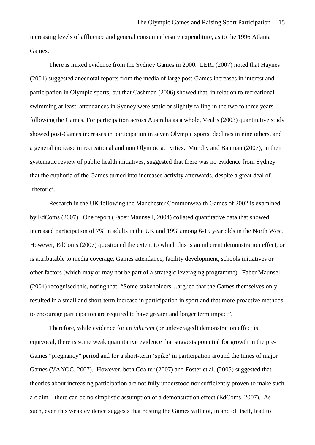increasing levels of affluence and general consumer leisure expenditure, as to the 1996 Atlanta Games.

There is mixed evidence from the Sydney Games in 2000. LERI (2007) noted that Haynes (2001) suggested anecdotal reports from the media of large post-Games increases in interest and participation in Olympic sports, but that Cashman (2006) showed that, in relation to recreational swimming at least, attendances in Sydney were static or slightly falling in the two to three years following the Games. For participation across Australia as a whole, Veal's (2003) quantitative study showed post-Games increases in participation in seven Olympic sports, declines in nine others, and a general increase in recreational and non Olympic activities. Murphy and Bauman (2007), in their systematic review of public health initiatives, suggested that there was no evidence from Sydney that the euphoria of the Games turned into increased activity afterwards, despite a great deal of 'rhetoric'.

Research in the UK following the Manchester Commonwealth Games of 2002 is examined by EdComs (2007). One report (Faber Maunsell, 2004) collated quantitative data that showed increased participation of 7% in adults in the UK and 19% among 6-15 year olds in the North West. However, EdComs (2007) questioned the extent to which this is an inherent demonstration effect, or is attributable to media coverage, Games attendance, facility development, schools initiatives or other factors (which may or may not be part of a strategic leveraging programme). Faber Maunsell (2004) recognised this, noting that: "Some stakeholders…argued that the Games themselves only resulted in a small and short-term increase in participation in sport and that more proactive methods to encourage participation are required to have greater and longer term impact".

Therefore, while evidence for an *inherent* (or unleveraged) demonstration effect is equivocal, there is some weak quantitative evidence that suggests potential for growth in the pre-Games "pregnancy" period and for a short-term 'spike' in participation around the times of major Games (VANOC, 2007). However, both Coalter (2007) and Foster et al. (2005) suggested that theories about increasing participation are not fully understood nor sufficiently proven to make such a claim – there can be no simplistic assumption of a demonstration effect (EdComs, 2007). As such, even this weak evidence suggests that hosting the Games will not, in and of itself, lead to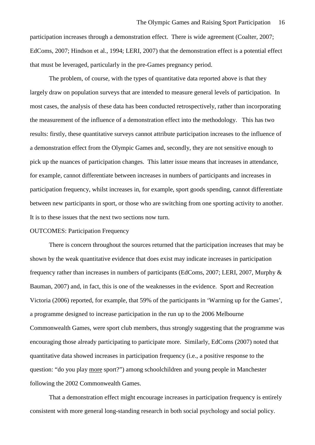participation increases through a demonstration effect. There is wide agreement (Coalter, 2007; EdComs, 2007; Hindson et al., 1994; LERI, 2007) that the demonstration effect is a potential effect that must be leveraged, particularly in the pre-Games pregnancy period.

The problem, of course, with the types of quantitative data reported above is that they largely draw on population surveys that are intended to measure general levels of participation. In most cases, the analysis of these data has been conducted retrospectively, rather than incorporating the measurement of the influence of a demonstration effect into the methodology. This has two results: firstly, these quantitative surveys cannot attribute participation increases to the influence of a demonstration effect from the Olympic Games and, secondly, they are not sensitive enough to pick up the nuances of participation changes. This latter issue means that increases in attendance, for example, cannot differentiate between increases in numbers of participants and increases in participation frequency, whilst increases in, for example, sport goods spending, cannot differentiate between new participants in sport, or those who are switching from one sporting activity to another. It is to these issues that the next two sections now turn.

#### OUTCOMES: Participation Frequency

There is concern throughout the sources returned that the participation increases that may be shown by the weak quantitative evidence that does exist may indicate increases in participation frequency rather than increases in numbers of participants (EdComs, 2007; LERI, 2007, Murphy & Bauman, 2007) and, in fact, this is one of the weaknesses in the evidence. Sport and Recreation Victoria (2006) reported, for example, that 59% of the participants in 'Warming up for the Games', a programme designed to increase participation in the run up to the 2006 Melbourne Commonwealth Games, were sport club members, thus strongly suggesting that the programme was encouraging those already participating to participate more. Similarly, EdComs (2007) noted that quantitative data showed increases in participation frequency (i.e., a positive response to the question: "do you play more sport?") among schoolchildren and young people in Manchester following the 2002 Commonwealth Games.

That a demonstration effect might encourage increases in participation frequency is entirely consistent with more general long-standing research in both social psychology and social policy.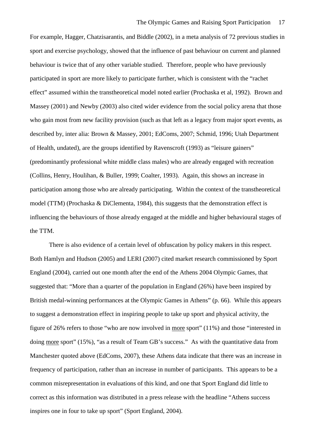For example, Hagger, Chatzisarantis, and Biddle (2002), in a meta analysis of 72 previous studies in sport and exercise psychology, showed that the influence of past behaviour on current and planned behaviour is twice that of any other variable studied. Therefore, people who have previously participated in sport are more likely to participate further, which is consistent with the "rachet effect" assumed within the transtheoretical model noted earlier (Prochaska et al, 1992). Brown and Massey (2001) and Newby (2003) also cited wider evidence from the social policy arena that those who gain most from new facility provision (such as that left as a legacy from major sport events, as described by, inter alia: Brown & Massey, 2001; EdComs, 2007; Schmid, 1996; Utah Department of Health, undated), are the groups identified by Ravenscroft (1993) as "leisure gainers" (predominantly professional white middle class males) who are already engaged with recreation (Collins, Henry, Houlihan, & Buller, 1999; Coalter, 1993). Again, this shows an increase in participation among those who are already participating. Within the context of the transtheoretical model (TTM) (Prochaska & DiClementa, 1984), this suggests that the demonstration effect is influencing the behaviours of those already engaged at the middle and higher behavioural stages of the TTM.

There is also evidence of a certain level of obfuscation by policy makers in this respect. Both Hamlyn and Hudson (2005) and LERI (2007) cited market research commissioned by Sport England (2004), carried out one month after the end of the Athens 2004 Olympic Games, that suggested that: "More than a quarter of the population in England (26%) have been inspired by British medal-winning performances at the Olympic Games in Athens" (p. 66). While this appears to suggest a demonstration effect in inspiring people to take up sport and physical activity, the figure of 26% refers to those "who are now involved in more sport" (11%) and those "interested in doing more sport" (15%), "as a result of Team GB's success." As with the quantitative data from Manchester quoted above (EdComs, 2007), these Athens data indicate that there was an increase in frequency of participation, rather than an increase in number of participants. This appears to be a common misrepresentation in evaluations of this kind, and one that Sport England did little to correct as this information was distributed in a press release with the headline "Athens success inspires one in four to take up sport" (Sport England, 2004).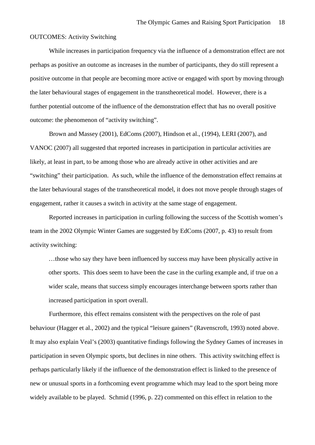#### OUTCOMES: Activity Switching

While increases in participation frequency via the influence of a demonstration effect are not perhaps as positive an outcome as increases in the number of participants, they do still represent a positive outcome in that people are becoming more active or engaged with sport by moving through the later behavioural stages of engagement in the transtheoretical model. However, there is a further potential outcome of the influence of the demonstration effect that has no overall positive outcome: the phenomenon of "activity switching".

Brown and Massey (2001), EdComs (2007), Hindson et al., (1994), LERI (2007), and VANOC (2007) all suggested that reported increases in participation in particular activities are likely, at least in part, to be among those who are already active in other activities and are "switching" their participation. As such, while the influence of the demonstration effect remains at the later behavioural stages of the transtheoretical model, it does not move people through stages of engagement, rather it causes a switch in activity at the same stage of engagement.

Reported increases in participation in curling following the success of the Scottish women's team in the 2002 Olympic Winter Games are suggested by EdComs (2007, p. 43) to result from activity switching:

…those who say they have been influenced by success may have been physically active in other sports. This does seem to have been the case in the curling example and, if true on a wider scale, means that success simply encourages interchange between sports rather than increased participation in sport overall.

Furthermore, this effect remains consistent with the perspectives on the role of past behaviour (Hagger et al., 2002) and the typical "leisure gainers" (Ravenscroft, 1993) noted above. It may also explain Veal's (2003) quantitative findings following the Sydney Games of increases in participation in seven Olympic sports, but declines in nine others. This activity switching effect is perhaps particularly likely if the influence of the demonstration effect is linked to the presence of new or unusual sports in a forthcoming event programme which may lead to the sport being more widely available to be played. Schmid (1996, p. 22) commented on this effect in relation to the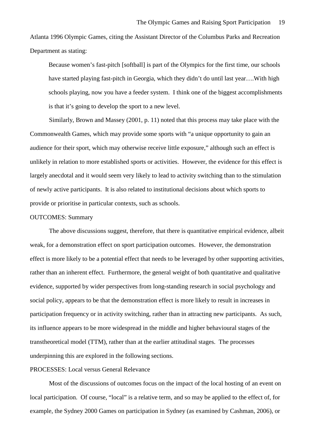Atlanta 1996 Olympic Games, citing the Assistant Director of the Columbus Parks and Recreation Department as stating:

Because women's fast-pitch [softball] is part of the Olympics for the first time, our schools have started playing fast-pitch in Georgia, which they didn't do until last year….With high schools playing, now you have a feeder system. I think one of the biggest accomplishments is that it's going to develop the sport to a new level.

Similarly, Brown and Massey (2001, p. 11) noted that this process may take place with the Commonwealth Games, which may provide some sports with "a unique opportunity to gain an audience for their sport, which may otherwise receive little exposure," although such an effect is unlikely in relation to more established sports or activities. However, the evidence for this effect is largely anecdotal and it would seem very likely to lead to activity switching than to the stimulation of newly active participants. It is also related to institutional decisions about which sports to provide or prioritise in particular contexts, such as schools.

### OUTCOMES: Summary

The above discussions suggest, therefore, that there is quantitative empirical evidence, albeit weak, for a demonstration effect on sport participation outcomes. However, the demonstration effect is more likely to be a potential effect that needs to be leveraged by other supporting activities, rather than an inherent effect. Furthermore, the general weight of both quantitative and qualitative evidence, supported by wider perspectives from long-standing research in social psychology and social policy, appears to be that the demonstration effect is more likely to result in increases in participation frequency or in activity switching, rather than in attracting new participants. As such, its influence appears to be more widespread in the middle and higher behavioural stages of the transtheoretical model (TTM), rather than at the earlier attitudinal stages. The processes underpinning this are explored in the following sections.

### PROCESSES: Local versus General Relevance

Most of the discussions of outcomes focus on the impact of the local hosting of an event on local participation. Of course, "local" is a relative term, and so may be applied to the effect of, for example, the Sydney 2000 Games on participation in Sydney (as examined by Cashman, 2006), or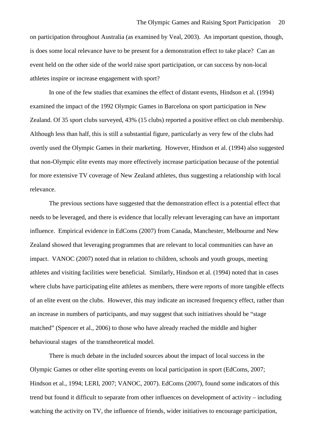on participation throughout Australia (as examined by Veal, 2003). An important question, though, is does some local relevance have to be present for a demonstration effect to take place? Can an event held on the other side of the world raise sport participation, or can success by non-local athletes inspire or increase engagement with sport?

In one of the few studies that examines the effect of distant events, Hindson et al. (1994) examined the impact of the 1992 Olympic Games in Barcelona on sport participation in New Zealand. Of 35 sport clubs surveyed, 43% (15 clubs) reported a positive effect on club membership. Although less than half, this is still a substantial figure, particularly as very few of the clubs had overtly used the Olympic Games in their marketing. However, Hindson et al. (1994) also suggested that non-Olympic elite events may more effectively increase participation because of the potential for more extensive TV coverage of New Zealand athletes, thus suggesting a relationship with local relevance.

The previous sections have suggested that the demonstration effect is a potential effect that needs to be leveraged, and there is evidence that locally relevant leveraging can have an important influence. Empirical evidence in EdComs (2007) from Canada, Manchester, Melbourne and New Zealand showed that leveraging programmes that are relevant to local communities can have an impact. VANOC (2007) noted that in relation to children, schools and youth groups, meeting athletes and visiting facilities were beneficial. Similarly, Hindson et al. (1994) noted that in cases where clubs have participating elite athletes as members, there were reports of more tangible effects of an elite event on the clubs. However, this may indicate an increased frequency effect, rather than an increase in numbers of participants, and may suggest that such initiatives should be "stage matched" (Spencer et al., 2006) to those who have already reached the middle and higher behavioural stages of the transtheoretical model.

There is much debate in the included sources about the impact of local success in the Olympic Games or other elite sporting events on local participation in sport (EdComs, 2007; Hindson et al., 1994; LERI, 2007; VANOC, 2007). EdComs (2007), found some indicators of this trend but found it difficult to separate from other influences on development of activity – including watching the activity on TV, the influence of friends, wider initiatives to encourage participation,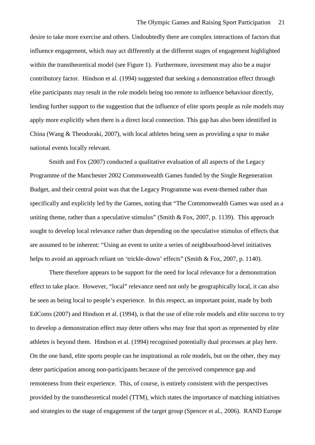desire to take more exercise and others. Undoubtedly there are complex interactions of factors that influence engagement, which may act differently at the different stages of engagement highlighted within the transtheoretical model (see Figure 1). Furthermore, investment may also be a major contributory factor. Hindson et al. (1994) suggested that seeking a demonstration effect through elite participants may result in the role models being too remote to influence behaviour directly, lending further support to the suggestion that the influence of elite sports people as role models may apply more explicitly when there is a direct local connection. This gap has also been identified in China (Wang & Theodoraki, 2007), with local athletes being seen as providing a spur to make national events locally relevant.

Smith and Fox (2007) conducted a qualitative evaluation of all aspects of the Legacy Programme of the Manchester 2002 Commonwealth Games funded by the Single Regeneration Budget, and their central point was that the Legacy Programme was event-themed rather than specifically and explicitly led by the Games, noting that "The Commonwealth Games was used as a uniting theme, rather than a speculative stimulus" (Smith & Fox, 2007, p. 1139). This approach sought to develop local relevance rather than depending on the speculative stimulus of effects that are assumed to be inherent: "Using an event to unite a series of neighbourhood-level initiatives helps to avoid an approach reliant on 'trickle-down' effects'' (Smith & Fox, 2007, p. 1140).

There therefore appears to be support for the need for local relevance for a demonstration effect to take place. However, "local" relevance need not only be geographically local, it can also be seen as being local to people's experience. In this respect, an important point, made by both EdComs (2007) and Hindson et al. (1994), is that the use of elite role models and elite success to try to develop a demonstration effect may deter others who may fear that sport as represented by elite athletes is beyond them. Hindson et al. (1994) recognised potentially dual processes at play here. On the one hand, elite sports people can be inspirational as role models, but on the other, they may deter participation among non-participants because of the perceived competence gap and remoteness from their experience. This, of course, is entirely consistent with the perspectives provided by the transtheoretical model (TTM), which states the importance of matching initiatives and strategies to the stage of engagement of the target group (Spencer et al., 2006). RAND Europe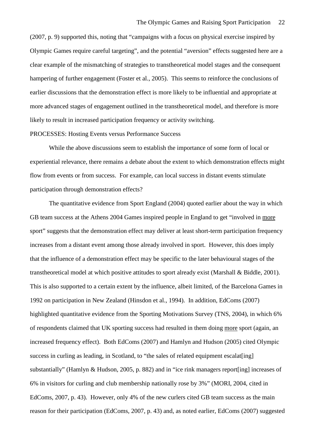(2007, p. 9) supported this, noting that "campaigns with a focus on physical exercise inspired by Olympic Games require careful targeting", and the potential "aversion" effects suggested here are a clear example of the mismatching of strategies to transtheoretical model stages and the consequent hampering of further engagement (Foster et al., 2005). This seems to reinforce the conclusions of earlier discussions that the demonstration effect is more likely to be influential and appropriate at more advanced stages of engagement outlined in the transtheoretical model, and therefore is more likely to result in increased participation frequency or activity switching.

#### PROCESSES: Hosting Events versus Performance Success

While the above discussions seem to establish the importance of some form of local or experiential relevance, there remains a debate about the extent to which demonstration effects might flow from events or from success. For example, can local success in distant events stimulate participation through demonstration effects?

The quantitative evidence from Sport England (2004) quoted earlier about the way in which GB team success at the Athens 2004 Games inspired people in England to get "involved in more sport" suggests that the demonstration effect may deliver at least short-term participation frequency increases from a distant event among those already involved in sport. However, this does imply that the influence of a demonstration effect may be specific to the later behavioural stages of the transtheoretical model at which positive attitudes to sport already exist (Marshall & Biddle, 2001). This is also supported to a certain extent by the influence, albeit limited, of the Barcelona Games in 1992 on participation in New Zealand (Hinsdon et al., 1994). In addition, EdComs (2007) highlighted quantitative evidence from the Sporting Motivations Survey (TNS, 2004), in which 6% of respondents claimed that UK sporting success had resulted in them doing more sport (again, an increased frequency effect). Both EdComs (2007) and Hamlyn and Hudson (2005) cited Olympic success in curling as leading, in Scotland, to "the sales of related equipment escalat[ing] substantially" (Hamlyn & Hudson, 2005, p. 882) and in "ice rink managers report[ing] increases of 6% in visitors for curling and club membership nationally rose by 3%" (MORI, 2004, cited in EdComs, 2007, p. 43). However, only 4% of the new curlers cited GB team success as the main reason for their participation (EdComs, 2007, p. 43) and, as noted earlier, EdComs (2007) suggested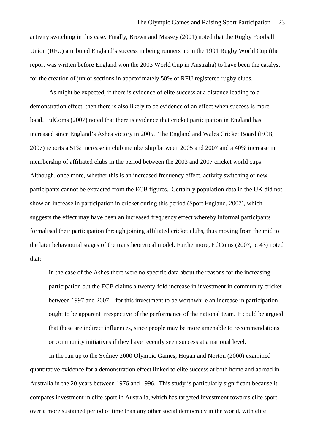activity switching in this case. Finally, Brown and Massey (2001) noted that the Rugby Football Union (RFU) attributed England's success in being runners up in the 1991 Rugby World Cup (the report was written before England won the 2003 World Cup in Australia) to have been the catalyst for the creation of junior sections in approximately 50% of RFU registered rugby clubs.

As might be expected, if there is evidence of elite success at a distance leading to a demonstration effect, then there is also likely to be evidence of an effect when success is more local. EdComs (2007) noted that there is evidence that cricket participation in England has increased since England's Ashes victory in 2005. The England and Wales Cricket Board (ECB, 2007) reports a 51% increase in club membership between 2005 and 2007 and a 40% increase in membership of affiliated clubs in the period between the 2003 and 2007 cricket world cups. Although, once more, whether this is an increased frequency effect, activity switching or new participants cannot be extracted from the ECB figures. Certainly population data in the UK did not show an increase in participation in cricket during this period (Sport England, 2007), which suggests the effect may have been an increased frequency effect whereby informal participants formalised their participation through joining affiliated cricket clubs, thus moving from the mid to the later behavioural stages of the transtheoretical model. Furthermore, EdComs (2007, p. 43) noted that:

In the case of the Ashes there were no specific data about the reasons for the increasing participation but the ECB claims a twenty-fold increase in investment in community cricket between 1997 and 2007 – for this investment to be worthwhile an increase in participation ought to be apparent irrespective of the performance of the national team. It could be argued that these are indirect influences, since people may be more amenable to recommendations or community initiatives if they have recently seen success at a national level.

In the run up to the Sydney 2000 Olympic Games, Hogan and Norton (2000) examined quantitative evidence for a demonstration effect linked to elite success at both home and abroad in Australia in the 20 years between 1976 and 1996. This study is particularly significant because it compares investment in elite sport in Australia, which has targeted investment towards elite sport over a more sustained period of time than any other social democracy in the world, with elite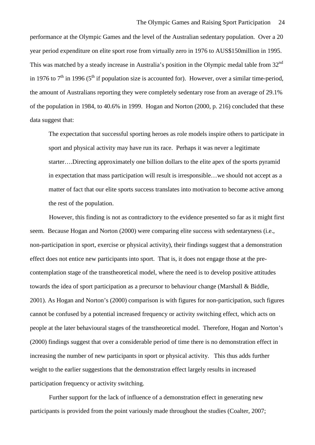performance at the Olympic Games and the level of the Australian sedentary population. Over a 20 year period expenditure on elite sport rose from virtually zero in 1976 to AUS\$150million in 1995. This was matched by a steady increase in Australia's position in the Olympic medal table from 32<sup>nd</sup> in 1976 to  $7<sup>th</sup>$  in 1996 ( $5<sup>th</sup>$  if population size is accounted for). However, over a similar time-period, the amount of Australians reporting they were completely sedentary rose from an average of 29.1% of the population in 1984, to 40.6% in 1999. Hogan and Norton (2000, p. 216) concluded that these data suggest that:

The expectation that successful sporting heroes as role models inspire others to participate in sport and physical activity may have run its race. Perhaps it was never a legitimate starter….Directing approximately one billion dollars to the elite apex of the sports pyramid in expectation that mass participation will result is irresponsible…we should not accept as a matter of fact that our elite sports success translates into motivation to become active among the rest of the population.

However, this finding is not as contradictory to the evidence presented so far as it might first seem. Because Hogan and Norton (2000) were comparing elite success with sedentaryness (i.e., non-participation in sport, exercise or physical activity), their findings suggest that a demonstration effect does not entice new participants into sport. That is, it does not engage those at the precontemplation stage of the transtheoretical model, where the need is to develop positive attitudes towards the idea of sport participation as a precursor to behaviour change (Marshall & Biddle, 2001). As Hogan and Norton's (2000) comparison is with figures for non-participation, such figures cannot be confused by a potential increased frequency or activity switching effect, which acts on people at the later behavioural stages of the transtheoretical model. Therefore, Hogan and Norton's (2000) findings suggest that over a considerable period of time there is no demonstration effect in increasing the number of new participants in sport or physical activity. This thus adds further weight to the earlier suggestions that the demonstration effect largely results in increased participation frequency or activity switching.

Further support for the lack of influence of a demonstration effect in generating new participants is provided from the point variously made throughout the studies (Coalter, 2007;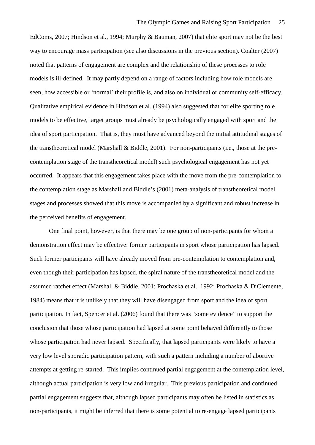EdComs, 2007; Hindson et al., 1994; Murphy & Bauman, 2007) that elite sport may not be the best way to encourage mass participation (see also discussions in the previous section). Coalter (2007) noted that patterns of engagement are complex and the relationship of these processes to role models is ill-defined. It may partly depend on a range of factors including how role models are seen, how accessible or 'normal' their profile is, and also on individual or community self-efficacy. Qualitative empirical evidence in Hindson et al. (1994) also suggested that for elite sporting role models to be effective, target groups must already be psychologically engaged with sport and the idea of sport participation. That is, they must have advanced beyond the initial attitudinal stages of the transtheoretical model (Marshall & Biddle, 2001). For non-participants (i.e., those at the precontemplation stage of the transtheoretical model) such psychological engagement has not yet occurred. It appears that this engagement takes place with the move from the pre-contemplation to the contemplation stage as Marshall and Biddle's (2001) meta-analysis of transtheoretical model stages and processes showed that this move is accompanied by a significant and robust increase in the perceived benefits of engagement.

One final point, however, is that there may be one group of non-participants for whom a demonstration effect may be effective: former participants in sport whose participation has lapsed. Such former participants will have already moved from pre-contemplation to contemplation and, even though their participation has lapsed, the spiral nature of the transtheoretical model and the assumed ratchet effect (Marshall & Biddle, 2001; Prochaska et al., 1992; Prochaska & DiClemente, 1984) means that it is unlikely that they will have disengaged from sport and the idea of sport participation. In fact, Spencer et al. (2006) found that there was "some evidence" to support the conclusion that those whose participation had lapsed at some point behaved differently to those whose participation had never lapsed. Specifically, that lapsed participants were likely to have a very low level sporadic participation pattern, with such a pattern including a number of abortive attempts at getting re-started. This implies continued partial engagement at the contemplation level, although actual participation is very low and irregular. This previous participation and continued partial engagement suggests that, although lapsed participants may often be listed in statistics as non-participants, it might be inferred that there is some potential to re-engage lapsed participants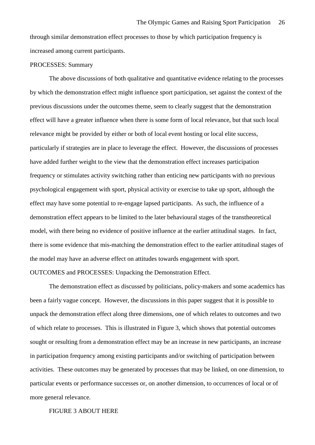through similar demonstration effect processes to those by which participation frequency is increased among current participants.

#### PROCESSES: Summary

The above discussions of both qualitative and quantitative evidence relating to the processes by which the demonstration effect might influence sport participation, set against the context of the previous discussions under the outcomes theme, seem to clearly suggest that the demonstration effect will have a greater influence when there is some form of local relevance, but that such local relevance might be provided by either or both of local event hosting or local elite success, particularly if strategies are in place to leverage the effect. However, the discussions of processes have added further weight to the view that the demonstration effect increases participation frequency or stimulates activity switching rather than enticing new participants with no previous psychological engagement with sport, physical activity or exercise to take up sport, although the effect may have some potential to re-engage lapsed participants. As such, the influence of a demonstration effect appears to be limited to the later behavioural stages of the transtheoretical model, with there being no evidence of positive influence at the earlier attitudinal stages. In fact, there is some evidence that mis-matching the demonstration effect to the earlier attitudinal stages of the model may have an adverse effect on attitudes towards engagement with sport.

## OUTCOMES and PROCESSES: Unpacking the Demonstration Effect.

The demonstration effect as discussed by politicians, policy-makers and some academics has been a fairly vague concept. However, the discussions in this paper suggest that it is possible to unpack the demonstration effect along three dimensions, one of which relates to outcomes and two of which relate to processes. This is illustrated in Figure 3, which shows that potential outcomes sought or resulting from a demonstration effect may be an increase in new participants, an increase in participation frequency among existing participants and/or switching of participation between activities. These outcomes may be generated by processes that may be linked, on one dimension, to particular events or performance successes or, on another dimension, to occurrences of local or of more general relevance.

#### FIGURE 3 ABOUT HERE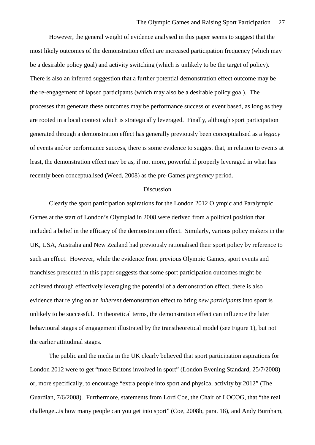However, the general weight of evidence analysed in this paper seems to suggest that the most likely outcomes of the demonstration effect are increased participation frequency (which may be a desirable policy goal) and activity switching (which is unlikely to be the target of policy). There is also an inferred suggestion that a further potential demonstration effect outcome may be the re-engagement of lapsed participants (which may also be a desirable policy goal). The processes that generate these outcomes may be performance success or event based, as long as they are rooted in a local context which is strategically leveraged. Finally, although sport participation generated through a demonstration effect has generally previously been conceptualised as a *legacy* of events and/or performance success, there is some evidence to suggest that, in relation to events at least, the demonstration effect may be as, if not more, powerful if properly leveraged in what has recently been conceptualised (Weed, 2008) as the pre-Games *pregnancy* period.

#### Discussion

Clearly the sport participation aspirations for the London 2012 Olympic and Paralympic Games at the start of London's Olympiad in 2008 were derived from a political position that included a belief in the efficacy of the demonstration effect. Similarly, various policy makers in the UK, USA, Australia and New Zealand had previously rationalised their sport policy by reference to such an effect. However, while the evidence from previous Olympic Games, sport events and franchises presented in this paper suggests that some sport participation outcomes might be achieved through effectively leveraging the potential of a demonstration effect, there is also evidence that relying on an *inherent* demonstration effect to bring *new participants* into sport is unlikely to be successful. In theoretical terms, the demonstration effect can influence the later behavioural stages of engagement illustrated by the transtheoretical model (see Figure 1), but not the earlier attitudinal stages.

<span id="page-29-0"></span>The public and the media in the UK clearly believed that sport participation aspirations for London 2012 were to get "more Britons involved in sport" (London Evening Standard, 25/7/2008) or, more specifically, to encourage "extra people into sport and physical activity by 2012" (The Guardian, 7/6/2008). Furthermore, statements from Lord Coe, the Chair of LOCOG, that "the real challenge...is how many people can you get into sport" (Coe, 2008b, para. 18), and Andy Burnham,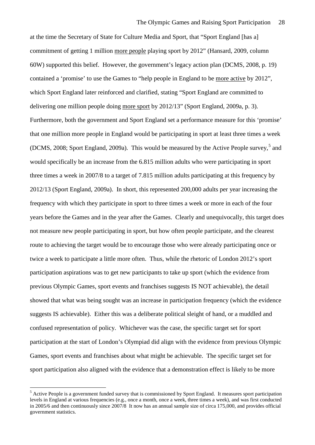at the time the Secretary of State for Culture Media and Sport, that "Sport England [has a] commitment of getting 1 million more people playing sport by 2012" (Hansard, 2009, column 60W) supported this belief. However, the government's legacy action plan (DCMS, 2008, p. 19) contained a 'promise' to use the Games to "help people in England to be more active by 2012", which Sport England later reinforced and clarified, stating "Sport England are committed to delivering one million people doing more sport by 2012/13" (Sport England, 2009a, p. 3). Furthermore, both the government and Sport England set a performance measure for this 'promise' that one million more people in England would be participating in sport at least three times a week (DCMS, 2008; Sport England, 2009a). This would be measured by the Active People survey,<sup>[5](#page-29-0)</sup> and would specifically be an increase from the 6.815 million adults who were participating in sport three times a week in 2007/8 to a target of 7.815 million adults participating at this frequency by 2012/13 (Sport England, 2009a). In short, this represented 200,000 adults per year increasing the frequency with which they participate in sport to three times a week or more in each of the four years before the Games and in the year after the Games. Clearly and unequivocally, this target does not measure new people participating in sport, but how often people participate, and the clearest route to achieving the target would be to encourage those who were already participating once or twice a week to participate a little more often. Thus, while the rhetoric of London 2012's sport participation aspirations was to get new participants to take up sport (which the evidence from previous Olympic Games, sport events and franchises suggests IS NOT achievable), the detail showed that what was being sought was an increase in participation frequency (which the evidence suggests IS achievable). Either this was a deliberate political sleight of hand, or a muddled and confused representation of policy. Whichever was the case, the specific target set for sport participation at the start of London's Olympiad did align with the evidence from previous Olympic Games, sport events and franchises about what might be achievable. The specific target set for sport participation also aligned with the evidence that a demonstration effect is likely to be more

-

<sup>&</sup>lt;sup>5</sup> Active People is a government funded survey that is commissioned by Sport England. It measures sport participation levels in England at various frequencies (e.g., once a month, once a week, three times a week), and was first conducted in 2005/6 and then continuously since 2007/8 It now has an annual sample size of circa 175,000, and provides official government statistics.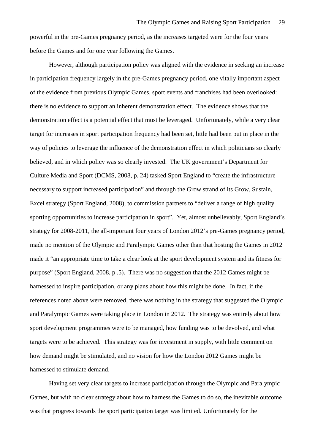powerful in the pre-Games pregnancy period, as the increases targeted were for the four years before the Games and for one year following the Games.

However, although participation policy was aligned with the evidence in seeking an increase in participation frequency largely in the pre-Games pregnancy period, one vitally important aspect of the evidence from previous Olympic Games, sport events and franchises had been overlooked: there is no evidence to support an inherent demonstration effect. The evidence shows that the demonstration effect is a potential effect that must be leveraged. Unfortunately, while a very clear target for increases in sport participation frequency had been set, little had been put in place in the way of policies to leverage the influence of the demonstration effect in which politicians so clearly believed, and in which policy was so clearly invested. The UK government's Department for Culture Media and Sport (DCMS, 2008, p. 24) tasked Sport England to "create the infrastructure necessary to support increased participation" and through the Grow strand of its Grow, Sustain, Excel strategy (Sport England, 2008), to commission partners to "deliver a range of high quality sporting opportunities to increase participation in sport". Yet, almost unbelievably, Sport England's strategy for 2008-2011, the all-important four years of London 2012's pre-Games pregnancy period, made no mention of the Olympic and Paralympic Games other than that hosting the Games in 2012 made it "an appropriate time to take a clear look at the sport development system and its fitness for purpose" (Sport England, 2008, p .5). There was no suggestion that the 2012 Games might be harnessed to inspire participation, or any plans about how this might be done. In fact, if the references noted above were removed, there was nothing in the strategy that suggested the Olympic and Paralympic Games were taking place in London in 2012. The strategy was entirely about how sport development programmes were to be managed, how funding was to be devolved, and what targets were to be achieved. This strategy was for investment in supply, with little comment on how demand might be stimulated, and no vision for how the London 2012 Games might be harnessed to stimulate demand.

Having set very clear targets to increase participation through the Olympic and Paralympic Games, but with no clear strategy about how to harness the Games to do so, the inevitable outcome was that progress towards the sport participation target was limited. Unfortunately for the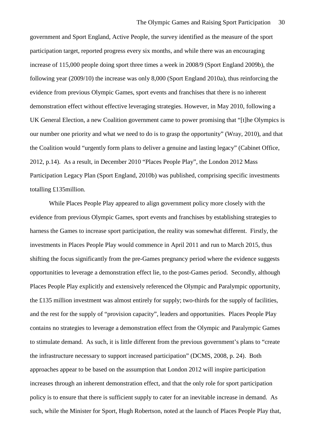government and Sport England, Active People, the survey identified as the measure of the sport participation target, reported progress every six months, and while there was an encouraging increase of 115,000 people doing sport three times a week in 2008/9 (Sport England 2009b), the following year (2009/10) the increase was only 8,000 (Sport England 2010a), thus reinforcing the evidence from previous Olympic Games, sport events and franchises that there is no inherent demonstration effect without effective leveraging strategies. However, in May 2010, following a UK General Election, a new Coalition government came to power promising that "[t]he Olympics is our number one priority and what we need to do is to grasp the opportunity" (Wray, 2010), and that the Coalition would "urgently form plans to deliver a genuine and lasting legacy" (Cabinet Office, 2012, p.14). As a result, in December 2010 "Places People Play", the London 2012 Mass Participation Legacy Plan (Sport England, 2010b) was published, comprising specific investments totalling £135million.

While Places People Play appeared to align government policy more closely with the evidence from previous Olympic Games, sport events and franchises by establishing strategies to harness the Games to increase sport participation, the reality was somewhat different. Firstly, the investments in Places People Play would commence in April 2011 and run to March 2015, thus shifting the focus significantly from the pre-Games pregnancy period where the evidence suggests opportunities to leverage a demonstration effect lie, to the post-Games period. Secondly, although Places People Play explicitly and extensively referenced the Olympic and Paralympic opportunity, the £135 million investment was almost entirely for supply; two-thirds for the supply of facilities, and the rest for the supply of "provision capacity", leaders and opportunities. Places People Play contains no strategies to leverage a demonstration effect from the Olympic and Paralympic Games to stimulate demand. As such, it is little different from the previous government's plans to "create the infrastructure necessary to support increased participation" (DCMS, 2008, p. 24). Both approaches appear to be based on the assumption that London 2012 will inspire participation increases through an inherent demonstration effect, and that the only role for sport participation policy is to ensure that there is sufficient supply to cater for an inevitable increase in demand. As such, while the Minister for Sport, Hugh Robertson, noted at the launch of Places People Play that,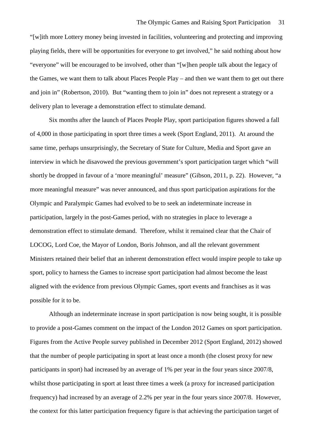"[w]ith more Lottery money being invested in facilities, volunteering and protecting and improving playing fields, there will be opportunities for everyone to get involved," he said nothing about how "everyone" will be encouraged to be involved, other than "[w]hen people talk about the legacy of the Games, we want them to talk about Places People Play – and then we want them to get out there and join in" (Robertson, 2010). But "wanting them to join in" does not represent a strategy or a delivery plan to leverage a demonstration effect to stimulate demand.

Six months after the launch of Places People Play, sport participation figures showed a fall of 4,000 in those participating in sport three times a week (Sport England, 2011). At around the same time, perhaps unsurprisingly, the Secretary of State for Culture, Media and Sport gave an interview in which he disavowed the previous government's sport participation target which "will shortly be dropped in favour of a 'more meaningful' measure" (Gibson, 2011, p. 22). However, "a more meaningful measure" was never announced, and thus sport participation aspirations for the Olympic and Paralympic Games had evolved to be to seek an indeterminate increase in participation, largely in the post-Games period, with no strategies in place to leverage a demonstration effect to stimulate demand. Therefore, whilst it remained clear that the Chair of LOCOG, Lord Coe, the Mayor of London, Boris Johnson, and all the relevant government Ministers retained their belief that an inherent demonstration effect would inspire people to take up sport, policy to harness the Games to increase sport participation had almost become the least aligned with the evidence from previous Olympic Games, sport events and franchises as it was possible for it to be.

Although an indeterminate increase in sport participation is now being sought, it is possible to provide a post-Games comment on the impact of the London 2012 Games on sport participation. Figures from the Active People survey published in December 2012 (Sport England, 2012) showed that the number of people participating in sport at least once a month (the closest proxy for new participants in sport) had increased by an average of 1% per year in the four years since 2007/8, whilst those participating in sport at least three times a week (a proxy for increased participation frequency) had increased by an average of 2.2% per year in the four years since 2007/8. However, the context for this latter participation frequency figure is that achieving the participation target of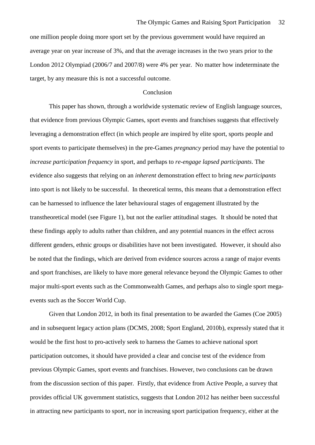one million people doing more sport set by the previous government would have required an average year on year increase of 3%, and that the average increases in the two years prior to the London 2012 Olympiad (2006/7 and 2007/8) were 4% per year. No matter how indeterminate the target, by any measure this is not a successful outcome.

#### Conclusion

This paper has shown, through a worldwide systematic review of English language sources, that evidence from previous Olympic Games, sport events and franchises suggests that effectively leveraging a demonstration effect (in which people are inspired by elite sport, sports people and sport events to participate themselves) in the pre-Games *pregnancy* period may have the potential to *increase participation frequency* in sport, and perhaps to *re-engage lapsed participants*. The evidence also suggests that relying on an *inherent* demonstration effect to bring *new participants* into sport is not likely to be successful. In theoretical terms, this means that a demonstration effect can be harnessed to influence the later behavioural stages of engagement illustrated by the transtheoretical model (see Figure 1), but not the earlier attitudinal stages. It should be noted that these findings apply to adults rather than children, and any potential nuances in the effect across different genders, ethnic groups or disabilities have not been investigated. However, it should also be noted that the findings, which are derived from evidence sources across a range of major events and sport franchises, are likely to have more general relevance beyond the Olympic Games to other major multi-sport events such as the Commonwealth Games, and perhaps also to single sport megaevents such as the Soccer World Cup.

Given that London 2012, in both its final presentation to be awarded the Games (Coe 2005) and in subsequent legacy action plans (DCMS, 2008; Sport England, 2010b), expressly stated that it would be the first host to pro-actively seek to harness the Games to achieve national sport participation outcomes, it should have provided a clear and concise test of the evidence from previous Olympic Games, sport events and franchises. However, two conclusions can be drawn from the discussion section of this paper. Firstly, that evidence from Active People, a survey that provides official UK government statistics, suggests that London 2012 has neither been successful in attracting new participants to sport, nor in increasing sport participation frequency, either at the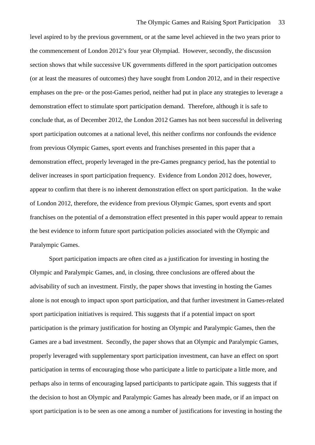level aspired to by the previous government, or at the same level achieved in the two years prior to the commencement of London 2012's four year Olympiad. However, secondly, the discussion section shows that while successive UK governments differed in the sport participation outcomes (or at least the measures of outcomes) they have sought from London 2012, and in their respective emphases on the pre- or the post-Games period, neither had put in place any strategies to leverage a demonstration effect to stimulate sport participation demand. Therefore, although it is safe to conclude that, as of December 2012, the London 2012 Games has not been successful in delivering sport participation outcomes at a national level, this neither confirms nor confounds the evidence from previous Olympic Games, sport events and franchises presented in this paper that a demonstration effect, properly leveraged in the pre-Games pregnancy period, has the potential to deliver increases in sport participation frequency. Evidence from London 2012 does, however, appear to confirm that there is no inherent demonstration effect on sport participation. In the wake of London 2012, therefore, the evidence from previous Olympic Games, sport events and sport franchises on the potential of a demonstration effect presented in this paper would appear to remain the best evidence to inform future sport participation policies associated with the Olympic and Paralympic Games.

Sport participation impacts are often cited as a justification for investing in hosting the Olympic and Paralympic Games, and, in closing, three conclusions are offered about the advisability of such an investment. Firstly, the paper shows that investing in hosting the Games alone is not enough to impact upon sport participation, and that further investment in Games-related sport participation initiatives is required. This suggests that if a potential impact on sport participation is the primary justification for hosting an Olympic and Paralympic Games, then the Games are a bad investment. Secondly, the paper shows that an Olympic and Paralympic Games, properly leveraged with supplementary sport participation investment, can have an effect on sport participation in terms of encouraging those who participate a little to participate a little more, and perhaps also in terms of encouraging lapsed participants to participate again. This suggests that if the decision to host an Olympic and Paralympic Games has already been made, or if an impact on sport participation is to be seen as one among a number of justifications for investing in hosting the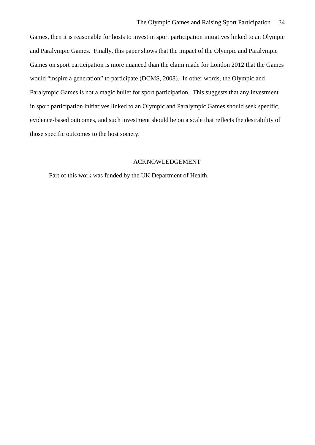Games, then it is reasonable for hosts to invest in sport participation initiatives linked to an Olympic and Paralympic Games. Finally, this paper shows that the impact of the Olympic and Paralympic Games on sport participation is more nuanced than the claim made for London 2012 that the Games would "inspire a generation" to participate (DCMS, 2008). In other words, the Olympic and Paralympic Games is not a magic bullet for sport participation. This suggests that any investment in sport participation initiatives linked to an Olympic and Paralympic Games should seek specific, evidence-based outcomes, and such investment should be on a scale that reflects the desirability of those specific outcomes to the host society.

## ACKNOWLEDGEMENT

Part of this work was funded by the UK Department of Health.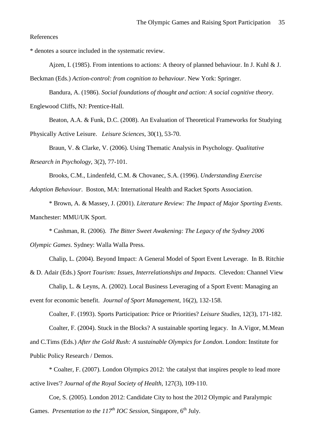References

\* denotes a source included in the systematic review.

Ajzen, I. (1985). From intentions to actions: A theory of planned behaviour. In J. Kuhl & J. Beckman (Eds.) *Action-control: from cognition to behaviour*. New York: Springer.

Bandura, A. (1986). *Social foundations of thought and action: A social cognitive theory*.

Englewood Cliffs, NJ: Prentice-Hall.

Beaton, A.A. & Funk, D.C. (2008). An Evaluation of Theoretical Frameworks for Studying

Physically Active Leisure. *Leisure Sciences*, 30(1), 53-70.

Braun, V. & Clarke, V. (2006). Using Thematic Analysis in Psychology. *Qualitative Research in Psychology*, 3(2), 77-101.

Brooks, C.M., Lindenfeld, C.M. & Chovanec, S.A. (1996). *Understanding Exercise* 

*Adoption Behaviour*. Boston, MA: International Health and Racket Sports Association.

\* Brown, A. & Massey, J. (2001). *Literature Review: The Impact of Major Sporting Events*. Manchester: MMU/UK Sport.

\* Cashman, R. (2006). *The Bitter Sweet Awakening: The Legacy of the Sydney 2006* 

*Olympic Games*. Sydney: Walla Walla Press.

Chalip, L. (2004). Beyond Impact: A General Model of Sport Event Leverage. In B. Ritchie

& D. Adair (Eds.) *Sport Tourism: Issues, Interrelationships and Impacts*. Clevedon: Channel View

Chalip, L. & Leyns, A. (2002). Local Business Leveraging of a Sport Event: Managing an event for economic benefit. *Journal of Sport Management*, 16(2), 132-158.

Coalter, F. (1993). Sports Participation: Price or Priorities? *Leisure Studies*, 12(3), 171-182. Coalter, F. (2004). Stuck in the Blocks? A sustainable sporting legacy. In A.Vigor, M.Mean and C.Tims (Eds.) *After the Gold Rush: A sustainable Olympics for London*. London: Institute for

Public Policy Research / Demos.

\* Coalter, F. (2007). London Olympics 2012: 'the catalyst that inspires people to lead more active lives'? *Journal of the Royal Society of Health*, 127(3), 109-110.

Coe, S. (2005). London 2012: Candidate City to host the 2012 Olympic and Paralympic Games. *Presentation to the*  $117<sup>th</sup>$  *IOC Session*, Singapore,  $6<sup>th</sup>$  July.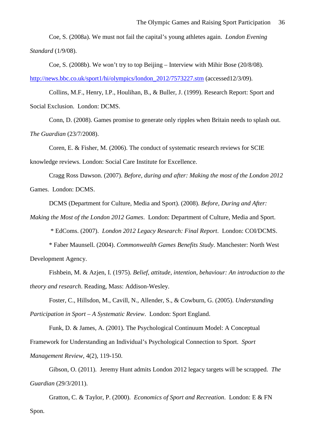Coe, S. (2008a). We must not fail the capital's young athletes again. *London Evening Standard* (1/9/08).

Coe, S. (2008b). We won't try to top Beijing – Interview with Mihir Bose (20/8/08).

[http://news.bbc.co.uk/sport1/hi/olympics/london\\_2012/7573227.stm](http://news.bbc.co.uk/sport1/hi/olympics/london_2012/7573227.stm) (accessed12/3/09).

Collins, M.F., Henry, I.P., Houlihan, B., & Buller, J. (1999). Research Report: Sport and Social Exclusion. London: DCMS.

Conn, D. (2008). Games promise to generate only ripples when Britain needs to splash out. *The Guardian* (23/7/2008).

Coren, E. & Fisher, M. (2006). The conduct of systematic research reviews for SCIE knowledge reviews. London: Social Care Institute for Excellence.

Cragg Ross Dawson. (2007). *Before, during and after: Making the most of the London 2012*  Games. London: DCMS.

DCMS (Department for Culture, Media and Sport). (2008). *Before, During and After:* 

*Making the Most of the London 2012 Games*. London: Department of Culture, Media and Sport.

\* EdComs. (2007). *London 2012 Legacy Research: Final Report*. London: COI/DCMS.

\* Faber Maunsell. (2004). *Commonwealth Games Benefits Study*. Manchester: North West Development Agency.

Fishbein, M. & Azjen, I. (1975). *Belief, attitude, intention, behaviour: An introduction to the theory and research*. Reading, Mass: Addison-Wesley.

Foster, C., Hillsdon, M., Cavill, N., Allender, S., & Cowburn, G. (2005). *Understanding* 

*Participation in Sport – A Systematic Review*. London: Sport England.

Funk, D. & James, A. (2001). The Psychological Continuum Model: A Conceptual Framework for Understanding an Individual's Psychological Connection to Sport. *Sport Management Review*, 4(2), 119-150.

Gibson, O. (2011). Jeremy Hunt admits London 2012 legacy targets will be scrapped. *The Guardian* (29/3/2011).

Gratton, C. & Taylor, P. (2000). *Economics of Sport and Recreation*. London: E & FN Spon.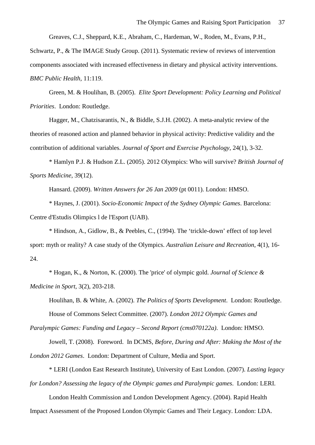Greaves, C.J., Sheppard, K.E., Abraham, C., Hardeman, W., Roden, M., Evans, P.H.,

Schwartz, P., & The IMAGE Study Group. (2011). Systematic review of reviews of intervention components associated with increased effectiveness in dietary and physical activity interventions. *BMC Public Health,* 11:119.

Green, M. & Houlihan, B. (2005). *Elite Sport Development: Policy Learning and Political Priorities*. London: Routledge.

Hagger, M., Chatzisarantis, N., & Biddle, S.J.H. (2002). A meta-analytic review of the theories of reasoned action and planned behavior in physical activity: Predictive validity and the contribution of additional variables. *Journal of Sport and Exercise Psychology*, 24(1), 3-32.

\* Hamlyn P.J. & Hudson Z.L. (2005). 2012 Olympics: Who will survive? *British Journal of Sports Medicine*, 39(12).

Hansard. (2009). *Written Answers for 26 Jan 2009* (pt 0011). London: HMSO.

\* Haynes, J. (2001). *Socio-Economic Impact of the Sydney Olympic Games*. Barcelona: Centre d'Estudis Olimpics l de l'Esport (UAB).

\* Hindson, A., Gidlow, B., & Peebles, C., (1994). The 'trickle-down' effect of top level sport: myth or reality? A case study of the Olympics. *Australian Leisure and Recreation*, 4(1), 16- 24.

\* Hogan, K., & Norton, K. (2000). The 'price' of olympic gold. *Journal of Science & Medicine in Sport*, 3(2), 203-218.

Houlihan, B. & White, A. (2002). *The Politics of Sports Development*. London: Routledge. House of Commons Select Committee. (2007). *London 2012 Olympic Games and* 

*Paralympic Games: Funding and Legacy – Second Report (cms070122a)*. London: HMSO.

Jowell, T. (2008). Foreword. In DCMS, *Before, During and After: Making the Most of the London 2012 Games*. London: Department of Culture, Media and Sport.

\* LERI (London East Research Institute), University of East London. (2007). *Lasting legacy for London? Assessing the legacy of the Olympic games and Paralympic games*. London: LERI.

London Health Commission and London Development Agency. (2004). Rapid Health Impact Assessment of the Proposed London Olympic Games and Their Legacy. London: LDA.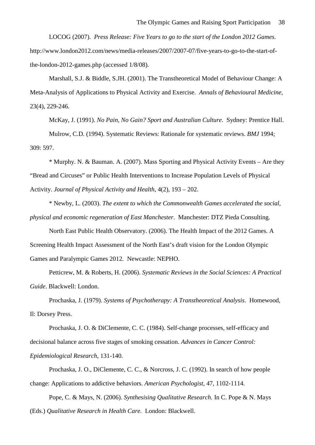LOCOG (2007). *Press Release: Five Years to go to the start of the London 2012 Games*. http://www.london2012.com/news/media-releases/2007/2007-07/five-years-to-go-to-the-start-ofthe-london-2012-games.php (accessed 1/8/08).

Marshall, S.J. & Biddle, S.JH. (2001). The Transtheoretical Model of Behaviour Change: A Meta-Analysis of Applications to Physical Activity and Exercise. *Annals of Behavioural Medicine*, 23(4), 229-246.

McKay, J. (1991). *No Pain, No Gain? Sport and Australian Culture*. Sydney: Prentice Hall. Mulrow, C.D. (1994). Systematic Reviews: Rationale for systematic reviews. *BMJ* 1994; 309: 597.

\* Murphy. N. & Bauman. A. (2007). Mass Sporting and Physical Activity Events – Are they "Bread and Circuses" or Public Health Interventions to Increase Population Levels of Physical Activity. *Journal of Physical Activity and Health*, 4(2), 193 – 202.

\* Newby, L. (2003). *The extent to which the Commonwealth Games accelerated the social, physical and economic regeneration of East Manchester*. Manchester: DTZ Pieda Consulting.

North East Public Health Observatory. (2006). The Health Impact of the 2012 Games. A Screening Health Impact Assessment of the North East's draft vision for the London Olympic Games and Paralympic Games 2012. Newcastle: NEPHO.

Petticrew, M. & Roberts, H. (2006). *Systematic Reviews in the Social Sciences: A Practical Guide*. Blackwell: London.

Prochaska, J. (1979). *Systems of Psychotherapy: A Transtheoretical Analysis*. Homewood, Il: Dorsey Press.

Prochaska, J. O. & DiClemente, C. C. (1984). Self-change processes, self-efficacy and decisional balance across five stages of smoking cessation. *Advances in Cancer Control: Epidemiological Research*, 131-140.

Prochaska, J. O., DiClemente, C. C., & Norcross, J. C. (1992). In search of how people change: Applications to addictive behaviors. *American Psychologist*, 47, 1102-1114.

Pope, C. & Mays, N. (2006). *Synthesising Qualitative Research*. In C. Pope & N. Mays (Eds.) *Qualitative Research in Health Care*. London: Blackwell.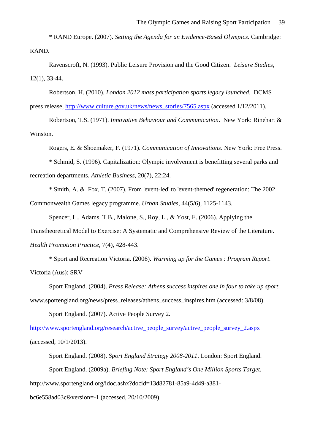\* RAND Europe. (2007). *Setting the Agenda for an Evidence-Based Olympics*. Cambridge: RAND.

Ravenscroft, N. (1993). Public Leisure Provision and the Good Citizen. *Leisure Studies*, 12(1), 33-44.

Robertson, H. (2010). *London 2012 mass participation sports legacy launched*. DCMS press release, [http://www.culture.gov.uk/news/news\\_stories/7565.aspx](http://www.culture.gov.uk/news/news_stories/7565.aspx) (accessed 1/12/2011).

Robertson, T.S. (1971). *Innovative Behaviour and Communication*. New York: Rinehart & Winston.

Rogers, E. & Shoemaker, F. (1971). *Communication of Innovations*. New York: Free Press. \* Schmid, S. (1996). Capitalization: Olympic involvement is benefitting several parks and recreation departments. *Athletic Business*, 20(7), 22;24.

\* Smith, A. & Fox, T. (2007). From 'event-led' to 'event-themed' regeneration: The 2002 Commonwealth Games legacy programme. *Urban Studies*, 44(5/6), 1125-1143.

Spencer, L., Adams, T.B., Malone, S., Roy, L., & Yost, E. (2006). Applying the Transtheoretical Model to Exercise: A Systematic and Comprehensive Review of the Literature. *Health Promotion Practice*, 7(4), 428-443.

\* Sport and Recreation Victoria. (2006). *Warming up for the Games : Program Report*. Victoria (Aus): SRV

Sport England. (2004). *Press Release: Athens success inspires one in four to take up sport*. www.sportengland.org/news/press\_releases/athens\_success\_inspires.htm (accessed: 3/8/08).

Sport England. (2007). Active People Survey 2.

[http://www.sportengland.org/research/active\\_people\\_survey/active\\_people\\_survey\\_2.aspx](http://www.sportengland.org/research/active_people_survey/active_people_survey_2.aspx) (accessed, 10/1/2013).

Sport England. (2008). *Sport England Strategy 2008-2011*. London: Sport England. Sport England. (2009a). *Briefing Note: Sport England's One Million Sports Target*. http://www.sportengland.org/idoc.ashx?docid=13d82781-85a9-4d49-a381-

bc6e558ad03c&version=-1 (accessed, 20/10/2009)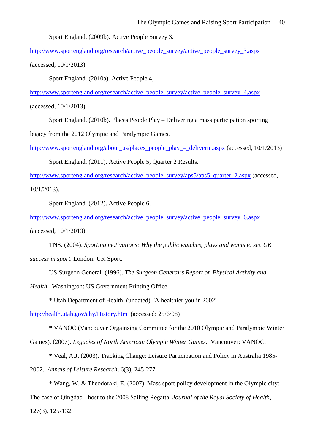Sport England. (2009b). Active People Survey 3.

[http://www.sportengland.org/research/active\\_people\\_survey/active\\_people\\_survey\\_3.aspx](http://www.sportengland.org/research/active_people_survey/active_people_survey_3.aspx) (accessed, 10/1/2013).

Sport England. (2010a). Active People 4,

[http://www.sportengland.org/research/active\\_people\\_survey/active\\_people\\_survey\\_4.aspx](http://www.sportengland.org/research/active_people_survey/active_people_survey_4.aspx)

(accessed, 10/1/2013).

Sport England. (2010b). Places People Play – Delivering a mass participation sporting

legacy from the 2012 Olympic and Paralympic Games.

http://www.sportengland.org/about\_us/places\_people\_play –\_deliverin.aspx (accessed,  $10/1/2013$ )

Sport England. (2011). Active People 5, Quarter 2 Results.

[http://www.sportengland.org/research/active\\_people\\_survey/aps5/aps5\\_quarter\\_2.aspx](http://www.sportengland.org/research/active_people_survey/aps5/aps5_quarter_2.aspx) (accessed, 10/1/2013).

Sport England. (2012). Active People 6.

[http://www.sportengland.org/research/active\\_people\\_survey/active\\_people\\_survey\\_6.aspx](http://www.sportengland.org/research/active_people_survey/active_people_survey_6.aspx)

(accessed, 10/1/2013).

TNS. (2004). *Sporting motivations: Why the public watches, plays and wants to see UK success in sport*. London: UK Sport.

US Surgeon General. (1996). *The Surgeon General's Report on Physical Activity and* 

*Health*. Washington: US Government Printing Office.

\* Utah Department of Health. (undated). 'A healthier you in 2002'.

<http://health.utah.gov/ahy/History.htm>(accessed: 25/6/08)

\* VANOC (Vancouver Orgainsing Committee for the 2010 Olympic and Paralympic Winter

Games). (2007). *Legacies of North American Olympic Winter Games*. Vancouver: VANOC.

\* Veal, A.J. (2003). Tracking Change: Leisure Participation and Policy in Australia 1985-

2002. *Annals of Leisure Research*, 6(3), 245-277.

\* Wang, W. & Theodoraki, E. (2007). Mass sport policy development in the Olympic city: The case of Qingdao - host to the 2008 Sailing Regatta. *Journal of the Royal Society of Health*,

127(3), 125-132.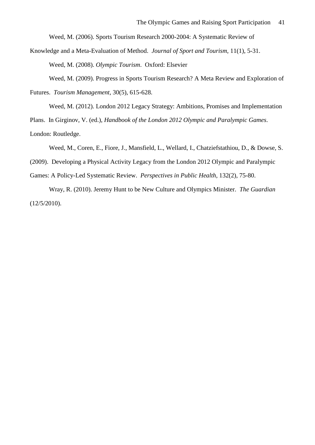Weed, M. (2006). Sports Tourism Research 2000-2004: A Systematic Review of

Knowledge and a Meta-Evaluation of Method. *Journal of Sport and Tourism*, 11(1), 5-31.

Weed, M. (2008). *Olympic Tourism*. Oxford: Elsevier

Weed, M. (2009). Progress in Sports Tourism Research? A Meta Review and Exploration of

Futures. *Tourism Management*, 30(5), 615-628.

Weed, M. (2012). London 2012 Legacy Strategy: Ambitions, Promises and Implementation

Plans. In Girginov, V. (ed.), *Handbook of the London 2012 Olympic and Paralympic Games*.

London: Routledge.

Weed, M., Coren, E., Fiore, J., Mansfield, L., Wellard, I., Chatziefstathiou, D., & Dowse, S.

(2009). Developing a Physical Activity Legacy from the London 2012 Olympic and Paralympic

Games: A Policy-Led Systematic Review. *Perspectives in Public Health*, 132(2), 75-80.

Wray, R. (2010). Jeremy Hunt to be New Culture and Olympics Minister. *The Guardian* (12/5/2010).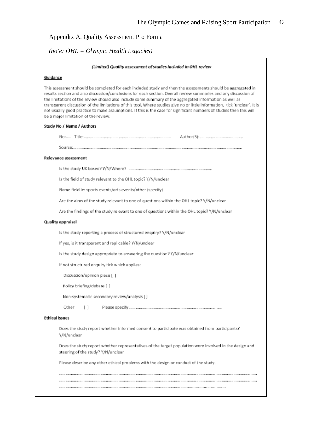## Appendix A: Quality Assessment Pro Forma

*(note: OHL = Olympic Health Legacies)*

#### (Limited) Quality assessment of studies included in OHL review

#### Guidance

This assessment should be completed for each included study and then the assessments should be aggregated in results section and also discussion/conclusions for each section. Overall review summaries and any discussion of the limitations of the review should also include some summary of the aggregated information as well as transparent discussion of the limitations of this tool. Where studies give no or little information, tick 'unclear'. It is not usually good practice to make assumptions. If this is the case for significant numbers of studies then this will be a major limitation of the review.

#### Study No / Name / Authors

#### Relevance assessment

Is the field of study relevant to the OHL topic? Y/N/unclear

Name field ie: sports events/arts events/other (specify)

Are the aims of the study relevant to one of questions within the OHL topic? Y/N/unclear

Are the findings of the study relevant to one of questions within the OHL topic? Y/N/unclear

#### **Quality appraisal**

Is the study reporting a process of structured enquiry? Y/N/unclear

If yes, is it transparent and replicable? Y/N/unclear

Is the study design appropriate to answering the question? Y/N/unclear

If not structured enquiry tick which applies:

Discussion/opinion piece [ ]

Policy briefing/debate [ ]

Non-systematic secondary review/analysis [ ]

Other  $\left[ \quad \right]$ 

#### **Ethical issues**

Does the study report whether informed consent to participate was obtained from participants? Y/N/unclear

Does the study report whether representatives of the target population were involved in the design and steering of the study? Y/N/unclear

Please describe any other ethical problems with the design or conduct of the study.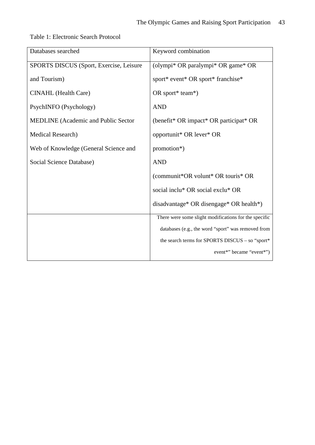| Databases searched                         | Keyword combination                                   |
|--------------------------------------------|-------------------------------------------------------|
| SPORTS DISCUS (Sport, Exercise, Leisure    | (olympi* OR paralympi* OR game* OR                    |
| and Tourism)                               | sport* event* OR sport* franchise*                    |
| <b>CINAHL</b> (Health Care)                | OR sport* team*)                                      |
| PsychINFO (Psychology)                     | <b>AND</b>                                            |
| <b>MEDLINE</b> (Academic and Public Sector | (benefit* OR impact* OR participat* OR                |
| Medical Research)                          | opportunit* OR lever* OR                              |
| Web of Knowledge (General Science and      | promotion*)                                           |
| Social Science Database)                   | <b>AND</b>                                            |
|                                            | (communit*OR volunt* OR touris* OR                    |
|                                            | social inclu* OR social exclu* OR                     |
|                                            | disadvantage* OR disengage* OR health*)               |
|                                            | There were some slight modifications for the specific |
|                                            | databases (e.g., the word "sport" was removed from    |
|                                            | the search terms for SPORTS DISCUS - so "sport*       |
|                                            | event*" became "event*")                              |

Table 1: Electronic Search Protocol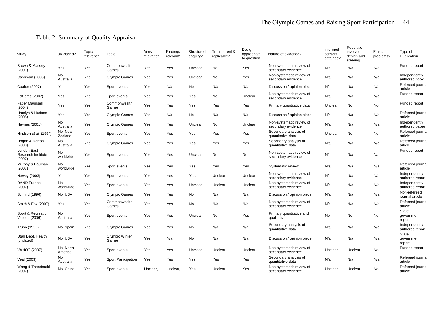# Table 2: Summary of Quality Appraisal

| Study                                              | UK-based?            | Topic<br>relevant? | Topic                   | Aims<br>relevant? | Findings<br>relevant? | Structured<br>enquiry? | Transparent &<br>replicable? | Design<br>appropriate<br>to question | Nature of evidence?                            | Informed<br>consent<br>obtained? | Population<br>involved in<br>design and<br>steering | Ethical<br>problems? | Type of<br>Publication           |
|----------------------------------------------------|----------------------|--------------------|-------------------------|-------------------|-----------------------|------------------------|------------------------------|--------------------------------------|------------------------------------------------|----------------------------------|-----------------------------------------------------|----------------------|----------------------------------|
| Brown & Massey<br>(2001)                           | Yes                  | Yes                | Commonwealth<br>Games   | Yes               | Yes                   | Unclear                | No                           | Yes                                  | Non-systematic review of<br>secondary evidence | N/a                              | N/a                                                 | N/a                  | Funded report                    |
| Cashman (2006)                                     | No,<br>Australia     | Yes                | <b>Olympic Games</b>    | Yes               | Yes                   | Unclear                | No                           | Yes                                  | Non-systematic review of<br>secondary evidence | N/a                              | N/a                                                 | N/a                  | Independently<br>authored book   |
| Coalter (2007)                                     | Yes                  | Yes                | Sport events            | Yes               | N/a                   | No                     | N/a                          | N/a                                  | Discussion / opinion piece                     | N/a                              | N/a                                                 | N/a                  | Refereed journal<br>article      |
| EdComs (2007)                                      | Yes                  | Yes                | Sport events            | Yes               | Yes                   | Yes                    | No                           | Unclear                              | Non-systematic review of<br>secondary evidence | N/a                              | N/a                                                 | N/a                  | Funded report                    |
| <b>Faber Maunsell</b><br>(2004)                    | Yes                  | Yes                | Commonwealth<br>Games   | Yes               | Yes                   | Yes                    | Yes                          | Yes                                  | Primary quantitative data                      | Unclear                          | No                                                  | No                   | Funded report                    |
| Hamlyn & Hudson<br>(2005)                          | Yes                  | Yes                | <b>Olympic Games</b>    | Yes               | N/a                   | No                     | N/a                          | N/a                                  | Discussion / opinion piece                     | N/a                              | N/a                                                 | N/a                  | Refereed journal<br>article      |
| Haynes (2001)                                      | No,<br>Australia     | Yes                | <b>Olympic Games</b>    | Yes               | Yes                   | Unclear                | No                           | Unclear                              | Non-systematic review of<br>secondary evidence | N/a                              | N/a                                                 | N/a                  | Independently<br>authored paper  |
| Hindson et al. (1994)                              | No, New<br>Zealand   | Yes                | Sport events            | Yes               | Yes                   | Yes                    | Yes                          | Yes                                  | Secondary analysis of<br>quantitative data     | Unclear                          | No                                                  | No                   | Refereed journal<br>article      |
| Hogan & Norton<br>(2000)                           | No,<br>Australia     | Yes                | <b>Olympic Games</b>    | Yes               | Yes                   | Yes                    | Yes                          | Yes                                  | Secondary analysis of<br>quantitative data     | N/a                              | N/a                                                 | N/a                  | Refereed journal<br>article      |
| London East<br><b>Research Institute</b><br>(2007) | No,<br>worldwide     | Yes                | Sport events            | Yes               | Yes                   | Unclear                | No                           | No                                   | Non-systematic review of<br>secondary evidence | N/a                              | N/a                                                 | N/a                  | Funded report                    |
| Murphy & Bauman<br>(2007)                          | No,<br>worldwide     | Yes                | Sport events            | Yes               | Yes                   | Yes                    | Yes                          | Yes                                  | Systematic review                              | N/a                              | N/a                                                 | N/a                  | Refereed journal<br>article      |
| Newby (2003)                                       | Yes                  | Yes                | Sport events            | Yes               | Yes                   | Yes                    | Unclear                      | Unclear                              | Non-systematic review of<br>secondary evidence | N/a                              | N/a                                                 | N/a                  | Independently<br>authored report |
| <b>RAND Europe</b><br>(2007)                       | No,<br>worldwide     | Yes                | Sport events            | Yes               | Yes                   | Unclear                | Unclear                      | Unclear                              | Non-systematic review of<br>secondary evidence | N/a                              | N/a                                                 | N/a                  | Independently<br>authored report |
| Schmid (1996)                                      | No, USA              | Yes                | <b>Olympic Games</b>    | Yes               | Yes                   | No                     | N/a                          | N/a                                  | Discussion / opinion piece                     | N/a                              | N/a                                                 | N/a                  | Non-refereed<br>journal article  |
| Smith & Fox (2007)                                 | Yes                  | Yes                | Commonwealth<br>Games   | Yes               | Yes                   | No                     | N/a                          | N/a                                  | Non-systematic review of<br>secondary evidence | N/a                              | N/a                                                 | N/a                  | Refereed journal<br>article      |
| Sport & Recreation<br>Victoria (2006)              | No,<br>Australia     | Yes                | Sport events            | Yes               | Yes                   | Unclear                | No                           | Yes                                  | Primary quantitative and<br>qualitative data   | No.                              | No                                                  | No                   | State<br>government<br>report    |
| Truno (1995)                                       | No, Spain            | Yes                | <b>Olympic Games</b>    | Yes               | Yes                   | No                     | N/a                          | N/a                                  | Secondary analysis of<br>quantitative data     | N/a                              | N/a                                                 | N/a                  | Independently<br>authored report |
| Utah Dept. Health<br>(undated)                     | No, USA              | Yes                | Olympic Winter<br>Games | Yes               | N/a                   | No                     | N/a                          | N/a                                  | Discussion / opinion piece                     | N/a                              | N/a                                                 | N/a                  | State<br>government<br>report    |
| <b>VANOC (2007)</b>                                | No, North<br>America | Yes                | Sport events            | Yes               | Yes                   | Unclear                | Unclear                      | Unclear                              | Non-systematic review of<br>secondary evidence | Unclear                          | Unclear                                             | No                   | Funded report                    |
| Veal (2003)                                        | No,<br>Australia     | Yes                | Sport Participation     | Yes               | Yes                   | Yes                    | Yes                          | Yes                                  | Secondary analysis of<br>quantitative data     | N/a                              | N/a                                                 | N/a                  | Refereed journal<br>article      |
| Wang & Theodoraki<br>(2007)                        | No, China            | Yes                | Sport events            | Unclear,          | Unclear,              | Yes                    | Unclear                      | Yes                                  | Non-systematic review of<br>secondary evidence | Unclear                          | Unclear                                             | No                   | Refereed journal<br>article      |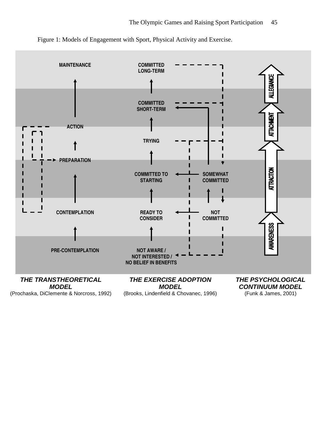

Figure 1: Models of Engagement with Sport, Physical Activity and Exercise.

(Prochaska, DiClemente & Norcross, 1992)

(Brooks, Lindenfield & Chovanec, 1996)

(Funk & James, 2001)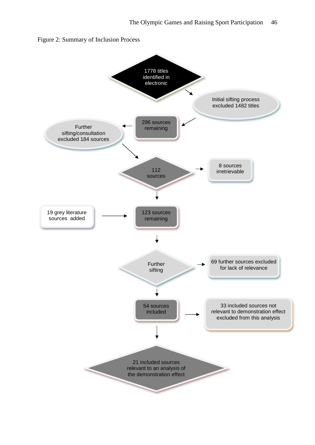